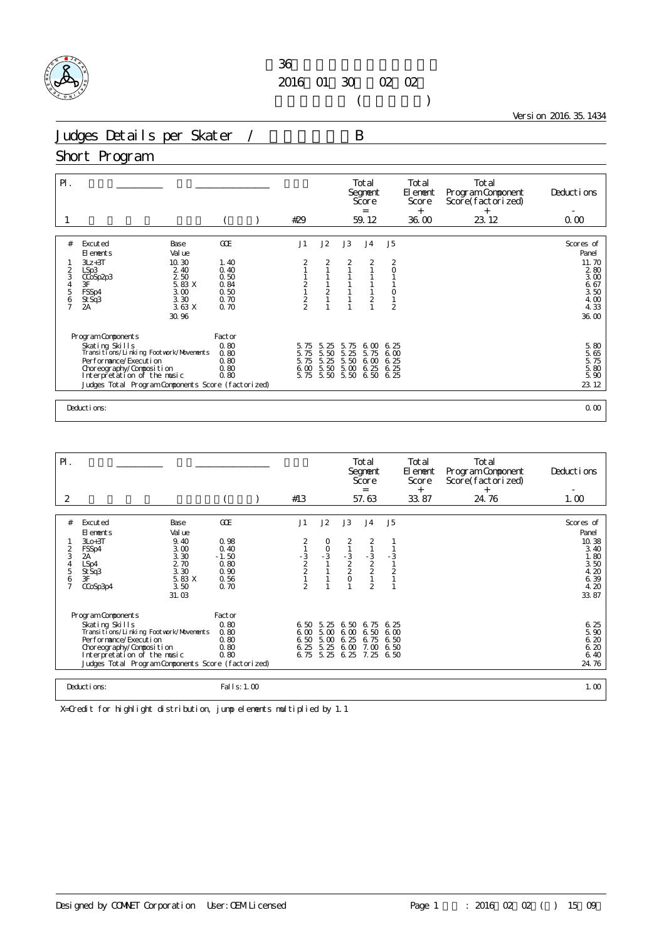

 $($ 

Version 2016.35.1434

Judges Details per Skater / B

## Short Program

| $P$ .                                        |                                                                                                                                                                                                                          |                                                             | #29                                  |                                  |                                           | Total<br>Segnent<br>Score<br>$\equiv$<br>59.12          |                                           | Total<br>El ement<br>Score<br>$^{+}$<br>36.00 | Total<br>Program Component<br>Score(factorized)<br>$^{+}$<br>23.12 | Deductions<br>0.00                                                                  |
|----------------------------------------------|--------------------------------------------------------------------------------------------------------------------------------------------------------------------------------------------------------------------------|-------------------------------------------------------------|--------------------------------------|----------------------------------|-------------------------------------------|---------------------------------------------------------|-------------------------------------------|-----------------------------------------------|--------------------------------------------------------------------|-------------------------------------------------------------------------------------|
|                                              |                                                                                                                                                                                                                          |                                                             |                                      |                                  |                                           |                                                         |                                           |                                               |                                                                    |                                                                                     |
| #<br>2<br>3<br>4<br>5<br>6<br>$\overline{7}$ | Excuted<br>Base<br>Val ue<br>El ements<br>10.30<br>$3Lz + 3T$<br>2 4 0<br>LSp3<br>2 50<br>CCoSp <sub>2p3</sub><br>3F<br>5.83 X<br>FSSp4<br>3.00<br>3.30<br>St Sq3<br>3.63X<br>2A<br>30.96                                | GOE<br>1.40<br>0.40<br>0.50<br>0.84<br>0.50<br>0.70<br>0.70 | J1<br>2<br>$\frac{1}{2}$             | J2<br>2<br>$\frac{1}{2}$         | J3<br>2                                   | J <sub>4</sub><br>2<br>$\overline{ }$<br>$\overline{2}$ | J5<br>2<br>$\circ$<br>0<br>$\overline{2}$ |                                               |                                                                    | Scores of<br>Panel<br>11.70<br>280<br>3.00<br>6.67<br>3.50<br>4.00<br>4.33<br>36.00 |
|                                              | Program Components<br>Skating Skills<br>Transitions/Linking Footwork/Movements<br>Performance/Execution<br>Choreography/Composition<br>Interpretation of the music<br>Judges Total Program Components Score (factorized) | Factor<br>0.80<br>0.80<br>0.80<br>0.80<br>0.80              | 5.75<br>5.75<br>5.75<br>6.00<br>5.75 | 5.<br>25<br>5.50<br>5.25<br>5.50 | 5.75<br>5.25<br>5.50<br>5.00<br>5.50 5.50 | 6.00<br>5.75<br>6.00<br>6.25<br>6.50                    | 6.25<br>6.00<br>6.25<br>6.25<br>6.25      |                                               |                                                                    | 5.80<br>5.65<br>5.75<br>5.80<br>5.90<br>23.12                                       |
|                                              | Deductions:                                                                                                                                                                                                              |                                                             |                                      |                                  |                                           |                                                         |                                           |                                               |                                                                    | 0.00                                                                                |

| PI.                          |                                                                                                                                                                                                                                |                                                         |                                                  |                                              |                                      | Total<br>Segnent<br>Score<br>$=$                      |                                     | Total<br>El ement<br>Score<br>$^{+}$ | Total<br>Program Component<br>Score(factorized)<br>$^{+}$ | Deductions                                                     |
|------------------------------|--------------------------------------------------------------------------------------------------------------------------------------------------------------------------------------------------------------------------------|---------------------------------------------------------|--------------------------------------------------|----------------------------------------------|--------------------------------------|-------------------------------------------------------|-------------------------------------|--------------------------------------|-----------------------------------------------------------|----------------------------------------------------------------|
| 2                            |                                                                                                                                                                                                                                |                                                         | #13                                              |                                              |                                      | 57.63                                                 |                                     | 33.87                                | 24.76                                                     | 1.00                                                           |
|                              |                                                                                                                                                                                                                                |                                                         |                                                  |                                              |                                      |                                                       |                                     |                                      |                                                           |                                                                |
| #                            | Excuted<br>Base<br>El ements<br>Val ue                                                                                                                                                                                         | GOE                                                     | J1                                               | J2                                           | J3                                   | J <sub>4</sub>                                        | J <sub>5</sub>                      |                                      |                                                           | Scores of<br>Panel                                             |
| $\frac{2}{3}$<br>4<br>5<br>6 | $3L0+3T$<br>9.40<br>3.00<br>FSSp4<br>3.30<br>2A<br>2.70<br>LSp4<br>3.30<br>St Sq3<br>3F<br>5.83 X<br>3.50<br>CCoSp3p4<br>31.03                                                                                                 | 0.98<br>0.40<br>$-1.50$<br>0.80<br>0.90<br>0.56<br>0.70 | $\frac{1}{2}$<br>$\frac{2}{2}$<br>$\mathfrak{D}$ | 0<br>$\frac{0}{3}$<br>$\mathbf{1}$           | 2<br>$\frac{1}{2}$<br>0              | 2<br>$\frac{1}{2}$<br>$\frac{2}{1}$<br>$\overline{2}$ | - 3<br>$\frac{2}{1}$                |                                      |                                                           | 10.38<br>3.40<br>1.80<br>3.50<br>4.20<br>6.39<br>4.20<br>33.87 |
|                              | Program Components<br>Skating Skills<br>Transi ti ons/Li nki ng Footvork/Movements<br>Per for mance/Execution<br>Choreography/Composition<br>Interpretation of the music<br>Judges Total Program Components Score (factorized) | Factor<br>0.80<br>0.80<br>0.80<br>0.80<br>0.80          | 6.00<br>6.50<br>6.25<br>6.75                     | 6, 50, 5, 25<br>5.00<br>5.00<br>5.25<br>5.25 | 6.50<br>6.00<br>6.25<br>6.00<br>6.25 | 6.75<br>6.50<br>6.75<br>7.00<br>7.25                  | 6.25<br>600<br>6.50<br>6.50<br>6.50 |                                      |                                                           | 6.25<br>5.90<br>6.20<br>6.20<br>6.40<br>24.76                  |
|                              | Deductions:                                                                                                                                                                                                                    | Fal I s: 1.00                                           |                                                  |                                              |                                      |                                                       |                                     |                                      |                                                           | 1.00                                                           |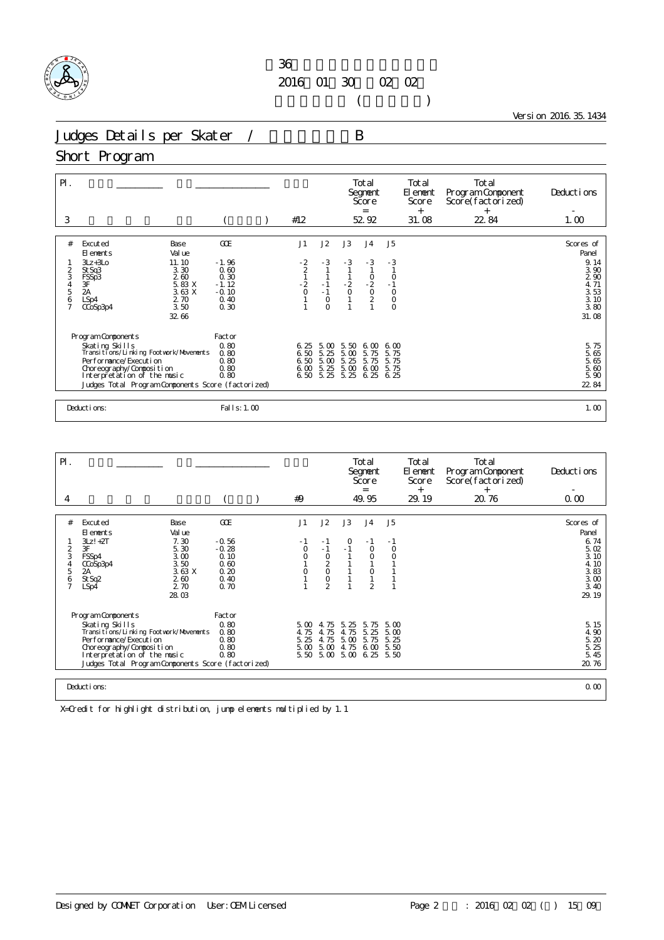

 $($ 

Version 2016.35.1434

Judges Details per Skater / B

### Short Program

| $\mathsf{P}$ .<br>3 |                                                          |                                                                             |                                               | #12                       |                      |                       | Total<br>Segnent<br>Score<br>$=$<br>52.92 |                 | Total<br>El ement<br>Score<br>$^{+}$<br>31.08 | Total<br>Program Component<br>Score(factorized)<br>$^{+}$<br>22.84 | Deductions<br>1.00                   |
|---------------------|----------------------------------------------------------|-----------------------------------------------------------------------------|-----------------------------------------------|---------------------------|----------------------|-----------------------|-------------------------------------------|-----------------|-----------------------------------------------|--------------------------------------------------------------------|--------------------------------------|
| #                   | Excuted<br>El ements                                     | Base<br>Val ue                                                              | GOE                                           | J1                        | J2                   | J3                    | J <sub>4</sub>                            | J <sub>5</sub>  |                                               |                                                                    | Scores of<br>Panel                   |
| 2<br>3<br>4<br>5    | $3Lz + 3L0$<br>St Sq3<br>FSSp3<br>3F<br>$\overline{2}$ A | 11.10<br>3.30<br>2.60<br>$\frac{5}{3}$ $\frac{83}{63}$ X<br>3. 63 X<br>2.70 | $-1.96$<br>0.60<br>0.30<br>$-1.12$<br>$-0.10$ | $-2$<br>$-2$<br>$-2$<br>O | $-3$<br>$-1$<br>$-1$ | $-3$<br>$\frac{2}{0}$ | $-3$<br>$-2$<br>$-2$<br>$-2$<br>$-2$      | $-3$<br>$\circ$ |                                               |                                                                    | 9.14<br>3.90<br>290<br>4.71<br>3.53  |
| $\frac{6}{7}$       | LSp4<br>CCoSp3p4                                         | 3.50<br>32.66                                                               | 0.40<br>0.30                                  |                           | $\circ$<br>$\Omega$  |                       |                                           | $\overline{0}$  |                                               |                                                                    | 3.10<br>3.80<br>31.08                |
|                     | Program Components                                       |                                                                             | Factor                                        |                           |                      |                       |                                           |                 |                                               |                                                                    |                                      |
|                     | Skating Skills<br>Transitions/Linking Footwork/Movements |                                                                             | 0.80<br>0.80                                  | 6.25<br>6.50              | 5.00<br>5.25         | 5.50<br>5.00          | 6.00<br>5.75                              | 6.00<br>5.75    |                                               |                                                                    | 5.75<br>5.65<br>5.66<br>5.60<br>5.90 |
|                     | Per for mance/Execution                                  |                                                                             | 0.80                                          | 6.50                      | 5.00                 | 5.25                  | 5.75                                      | 5.75            |                                               |                                                                    |                                      |
|                     | Choreography/Composition<br>Interpretation of the music  |                                                                             | 0.80<br>0.80                                  | 6.00<br>6.50 5.25         | 5.25                 | 5.00<br>5.25          | 6.00<br>6.25                              | 5.75<br>6.25    |                                               |                                                                    |                                      |
|                     | Judges Total Program Components Score (factorized)       |                                                                             |                                               |                           |                      |                       |                                           |                 |                                               |                                                                    | 22 84                                |
|                     |                                                          |                                                                             |                                               |                           |                      |                       |                                           |                 |                                               |                                                                    |                                      |
|                     | Deductions:                                              |                                                                             | Fal I s: 1.00                                 |                           |                      |                       |                                           |                 |                                               |                                                                    | 1.00                                 |

| $\mathsf{P}$ .                                  |                                                                                                                                                                                                                                |                                                               |                                                            |  |                              |                                                                      |                                                | Total<br>Segnent<br>Score<br>=               |                              | Total<br>El ement<br>Score<br>$^{+}$ | Total<br>Program Component<br>Score(factorized)<br>$^{+}$ | Deductions                                                    |
|-------------------------------------------------|--------------------------------------------------------------------------------------------------------------------------------------------------------------------------------------------------------------------------------|---------------------------------------------------------------|------------------------------------------------------------|--|------------------------------|----------------------------------------------------------------------|------------------------------------------------|----------------------------------------------|------------------------------|--------------------------------------|-----------------------------------------------------------|---------------------------------------------------------------|
| 4                                               |                                                                                                                                                                                                                                |                                                               |                                                            |  | #9                           |                                                                      |                                                | 49.95                                        |                              | 29.19                                | 20.76                                                     | 0.00                                                          |
|                                                 |                                                                                                                                                                                                                                |                                                               |                                                            |  |                              |                                                                      |                                                |                                              |                              |                                      |                                                           |                                                               |
| #                                               | Excuted<br>El ements                                                                                                                                                                                                           | Base<br>Val ue                                                | GOE                                                        |  | J1                           | J2                                                                   | J3                                             | J <sub>4</sub>                               | J5                           |                                      |                                                           | Scores of<br>Panel                                            |
| $\overline{2}$<br>3<br>5<br>6<br>$\overline{7}$ | $3Lz! +2T$<br>3F<br>FSSp4<br>CCoSp3p4<br>2A<br>St Sq2<br>LSp4                                                                                                                                                                  | 7.30<br>5.30<br>3.00<br>3.50<br>3.63X<br>260<br>2.70<br>28.03 | $-0.56$<br>$-0.28$<br>0.10<br>0.60<br>0.20<br>0.40<br>0.70 |  | $\circ$<br>0                 | - 1<br>$-1$<br>$\circ$<br>$\frac{2}{0}$<br>$\circ$<br>$\overline{2}$ | $-1$                                           | $-1$<br>$\circ$<br>$\circ$<br>$\overline{2}$ | - 1<br>$\circ$               |                                      |                                                           | 6.74<br>5.02<br>3.10<br>4.10<br>3.83<br>3.00<br>3.40<br>29.19 |
|                                                 | Program Components<br>Skating Skills<br>Transi ti ons/Li nki ng Footvork/Movements<br>Per for mance/Execution<br>Choreography/Composition<br>Interpretation of the music<br>Judges Total Program Components Score (factorized) |                                                               | Factor<br>0.80<br>0.80<br>0.80<br>0.80<br>0.80             |  | 5.00<br>4.75<br>5.25<br>5.00 | 4.75<br>4.75<br>4.75<br>5.00                                         | 5.25<br>4.75<br>5.00<br>4.75<br>5.50 5.00 5.00 | 5.75<br>5.25<br>5.75<br>6.00<br>6.25 5.50    | 5.00<br>5.00<br>5.25<br>5.50 |                                      |                                                           | 5.15<br>4.90<br>5.20<br>5.25<br>5.45<br>20.76                 |
| Deductions:                                     |                                                                                                                                                                                                                                |                                                               |                                                            |  |                              |                                                                      |                                                |                                              |                              |                                      |                                                           | 0.00                                                          |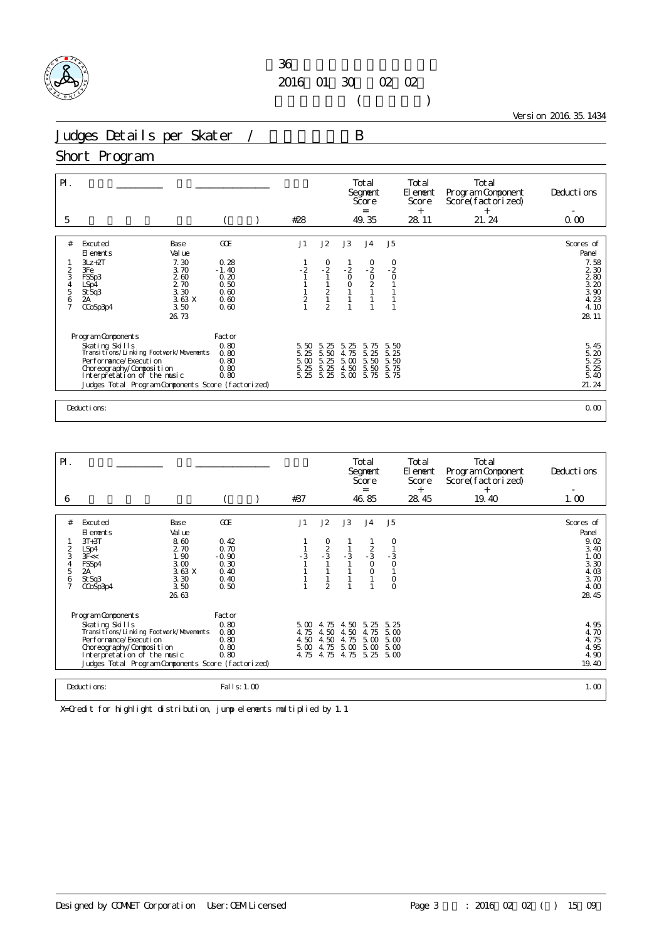

 $($ 

Version 2016.35.1434

Judges Details per Skater / B

## Short Program

| $\mathsf{P}$ .<br>5 |                                                                                    |                         | #28                  |                      |                      | Total<br>Segnent<br>Score<br>$=$<br>49.35 |                          | Total<br>El ement<br>Score<br>$^{+}$<br>28.11 | Total<br>Program Component<br>Score(factorized)<br>$^{+}$<br>21.24 | Deductions<br>0.00                            |
|---------------------|------------------------------------------------------------------------------------|-------------------------|----------------------|----------------------|----------------------|-------------------------------------------|--------------------------|-----------------------------------------------|--------------------------------------------------------------------|-----------------------------------------------|
|                     |                                                                                    |                         |                      |                      |                      |                                           |                          |                                               |                                                                    |                                               |
| #                   | Excuted<br>Base<br>Val ue<br>El ements                                             | COE                     | J1                   | J2                   | J3                   | J <sub>4</sub>                            | J5                       |                                               |                                                                    | Scores of<br>Panel                            |
| $\overline{2}$<br>3 | 7.30<br>$3Lz + 2T$<br>3Fe<br>3.70<br>2.60<br>FSSp3                                 | 0.28<br>$-1.40$<br>0.20 | $-2$                 | $\frac{0}{2}$        | $-2$<br>$\circ$      | $^{0}_{-2}$<br>$\mathsf O$                | $\frac{0}{2}$<br>$\circ$ |                                               |                                                                    | 7.58<br>2 3 0                                 |
| 4<br>5<br>6         | 2.70<br>LSp4<br>3.30<br>St Sq3<br>3.63X<br>2A                                      | 0.50<br>0.60<br>0.60    | $\overline{a}$       | $\frac{2}{1}$        | $\overline{0}$       | $\frac{2}{1}$                             |                          |                                               |                                                                    | $\frac{2}{3}$ $\frac{80}{20}$<br>3.90<br>4.23 |
| $\overline{7}$      | 3.50<br>CCoSp3p4<br>26.73                                                          | 0.60                    |                      | $\overline{2}$       |                      |                                           |                          |                                               |                                                                    | 4.10<br>28.11                                 |
|                     |                                                                                    | Factor                  |                      |                      |                      |                                           |                          |                                               |                                                                    |                                               |
|                     | Program Components<br>Skating Skills<br>Transi ti ons/Li nki ng Footvork/Movements | 0.80<br>0.80            | 5.50<br>5.25         | 5.25<br>5.50         | -25<br>5.<br>4.75    | 5.<br>75<br>5.25                          | 5.50<br>5.25             |                                               |                                                                    | $\frac{5}{5}$ . 45<br>5. 20                   |
|                     | Performance/Execution<br>Choreography/Composition<br>Interpretation of the music   | 0.80<br>0.80<br>0.80    | 5.00<br>5.25<br>5.25 | 5.25<br>5.25<br>5.25 | 5.00<br>4.50<br>5.00 | 5.50<br>5.50<br>5.75 5.75                 | 5.50<br>5.75             |                                               |                                                                    | 5. 25<br>5. 25<br>5.40                        |
|                     | Judges Total Program Components Score (factorized)                                 |                         |                      |                      |                      |                                           |                          |                                               |                                                                    | 21.24                                         |
|                     |                                                                                    |                         |                      |                      |                      |                                           |                          |                                               |                                                                    |                                               |
|                     | Deductions:                                                                        |                         |                      |                      |                      |                                           |                          |                                               |                                                                    | 0.00                                          |

| $\mathsf{P}$ .<br>6                          |                                                                                                                                                                                                                              |                                                                | #37                          |                                                                     |                                      | Total<br>Segnent<br>Score<br>$=$<br>46.85       |                                                      | Total<br>El enent<br>Score<br>$^{+}$<br>28.45 | Total<br>Program Component<br>Score(factorized)<br>$^{+}$<br>19.40 | Deductions<br>1.00                                                                  |
|----------------------------------------------|------------------------------------------------------------------------------------------------------------------------------------------------------------------------------------------------------------------------------|----------------------------------------------------------------|------------------------------|---------------------------------------------------------------------|--------------------------------------|-------------------------------------------------|------------------------------------------------------|-----------------------------------------------|--------------------------------------------------------------------|-------------------------------------------------------------------------------------|
|                                              |                                                                                                                                                                                                                              |                                                                |                              |                                                                     |                                      |                                                 |                                                      |                                               |                                                                    |                                                                                     |
| #<br>2<br>3<br>4<br>5<br>6<br>$\overline{7}$ | Base<br>Excuted<br>Val ue<br>El ements<br>8.60<br>$3T+3T$<br>2.70<br>LSp4<br>1.90<br>3F <<br>3.00<br>FSSp4<br>3.63 X<br>2A<br>St Sq3<br>3.30<br>3.50<br>$C\text{CoSp3p4}$<br>26.63                                           | GOE<br>0.42<br>0.70<br>$-0.90$<br>0.30<br>0.40<br>0.40<br>0.50 | J1<br>- 3                    | J2<br>$\begin{array}{c} 0 \\ 2 \\ -3 \end{array}$<br>$\mathfrak{D}$ | J3<br>$-3$                           | J <sub>4</sub><br>$\frac{2}{3}$<br>$\circ$<br>0 | J5<br>0<br>$-3$<br>$\circ$<br>$\mathsf O$<br>$\circ$ |                                               |                                                                    | Scores of<br>Panel<br>9.02<br>3.40<br>1.00<br>3.30<br>4.03<br>3.70<br>4.00<br>28.45 |
|                                              | Program Components<br>Skating Skills<br>Transi ti ons/Li nki ng Footvork/Movements<br>Performance/Execution<br>Choreography/Composition<br>Interpretation of the music<br>Judges Total Program Components Score (factorized) | Factor<br>0.80<br>0.80<br>0.80<br>0.80<br>0.80                 | 4.75<br>4.50<br>5.00<br>4.75 | 5.00 4.75<br>4.50<br>4.50<br>4.75<br>4.75                           | 4.50<br>4.50<br>4.75<br>5.00<br>4.75 | 5.25<br>4.75<br>5.00<br>5.00<br>5.25            | 5.25<br>5.00<br>5.00<br>5.00<br>5.00                 |                                               |                                                                    | 4.95<br>4.70<br>4.75<br>4.95<br>4.90<br>19.40                                       |
|                                              | Deductions:                                                                                                                                                                                                                  | Fal I s: 1.00                                                  |                              |                                                                     |                                      |                                                 |                                                      |                                               |                                                                    | 1.00                                                                                |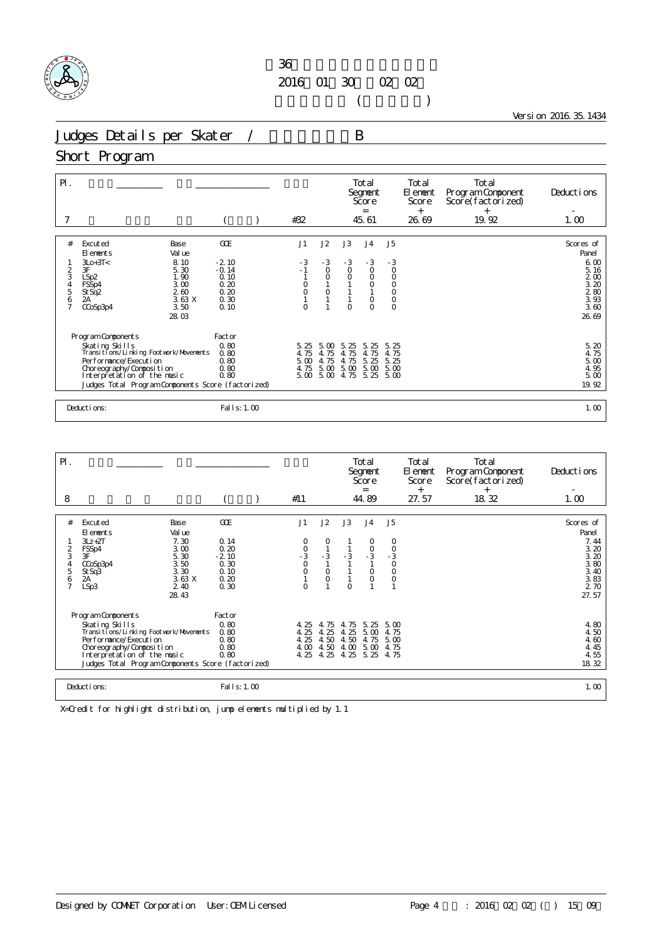

 $($ 

Version 2016.35.1434

Judges Details per Skater / B

Short Program

| $\mathsf{P}$ .      |                                                              |                |                 | #32          |                        |                    | Total<br>Segnent<br>Score<br>$=$<br>45.61 |                    | Total<br>El ement<br>Score<br>$^{+}$<br>26.69 | Total<br>Program Component<br>Score(factorized)<br>$^{+}$<br>19.92 | Deductions<br>1.00               |
|---------------------|--------------------------------------------------------------|----------------|-----------------|--------------|------------------------|--------------------|-------------------------------------------|--------------------|-----------------------------------------------|--------------------------------------------------------------------|----------------------------------|
|                     |                                                              |                |                 |              |                        |                    |                                           |                    |                                               |                                                                    |                                  |
| #                   | Excuted<br>El ements                                         | Base<br>Val ue | GOE             | J1           | J2                     | J3                 | J <sub>4</sub>                            | J <sub>5</sub>     |                                               |                                                                    | Scores of<br>Panel               |
|                     | $3L0+3T0$                                                    | 8.10           | $-2.10$         | - 3          | $-3$                   | $-3$               | $-3$                                      | $-3$               |                                               |                                                                    | 6.00                             |
| $\overline{c}$<br>3 | 3F<br>LSp2                                                   | 5.30<br>1.90   | $-0.14$<br>0.10 | $-1$         | $\mathsf O$<br>$\circ$ | $\circ$<br>$\circ$ | $\circ$<br>$\circ$                        | $\circ$<br>$\circ$ |                                               |                                                                    | 5.16<br>2 <sub>0</sub>           |
| $\frac{4}{5}$       | FSSp4                                                        | 3.00           | 0.20            | O            |                        |                    | $\circ$                                   | $\circ$            |                                               |                                                                    | 3.20                             |
| 6                   | St Sq <sub>2</sub><br>2A                                     | 260<br>3.63X   | 0.20<br>0.30    | O            | $\circ$                |                    | $\circ$                                   | $\mathsf O$        |                                               |                                                                    | $\frac{2}{3}$ 80<br>3.83<br>3.60 |
| $\overline{7}$      | CCoSp3p4                                                     | 3.50           | 0.10            | $\Omega$     |                        | $\Omega$           | $\Omega$                                  | $\overline{0}$     |                                               |                                                                    |                                  |
|                     |                                                              | 28.03          |                 |              |                        |                    |                                           |                    |                                               |                                                                    | 26.69                            |
|                     |                                                              |                |                 |              |                        |                    |                                           |                    |                                               |                                                                    |                                  |
|                     | Program Components                                           |                | Factor          |              |                        |                    |                                           |                    |                                               |                                                                    |                                  |
|                     | Skating Skills<br>Transi ti ons/Li nki ng Footvork/Movements |                | 0.80<br>0.80    | 5.25<br>4.75 | 5.00<br>4.75           | 5.25<br>4.75       | 5.25<br>4.75                              | 5.25<br>4.75       |                                               |                                                                    | 5.20<br>4.75                     |
|                     | Per for mance/Execution                                      |                | 0.80            | 5.00         | 4.75                   | 4.75               | 5.25                                      | 5.25               |                                               |                                                                    | 5.00                             |
|                     | Choreography/Composition                                     |                | 0.80            | 4.75         | 5.00                   | 5.00               | 5.00                                      | 5.00               |                                               |                                                                    | 4.95                             |
|                     | Interpretation of the music                                  |                | 0.80            | 5.00         | 5.00                   | 4.75               | 5.25                                      | 5.00               |                                               |                                                                    | 5.00                             |
|                     | Judges Total Program Components Score (factorized)           |                |                 |              |                        |                    |                                           |                    |                                               |                                                                    | 19.92                            |
|                     |                                                              |                |                 |              |                        |                    |                                           |                    |                                               |                                                                    |                                  |
|                     | Deductions:                                                  |                | Fal I s: 1.00   |              |                        |                    |                                           |                    |                                               |                                                                    | 1.00                             |

| $\mathsf{P}$ .                                 |                                                                                                                                                                                                                                |                                                                                   |                                                                |                                      |                                          |                                          | Total<br>Segnent<br>Score<br>$=$                      |                                                                       | Total<br>El ement<br>Score<br>$^{+}$ | Total<br>Program Component<br>Score(factorized)<br>$^{+}$ | Deductions                                                                          |
|------------------------------------------------|--------------------------------------------------------------------------------------------------------------------------------------------------------------------------------------------------------------------------------|-----------------------------------------------------------------------------------|----------------------------------------------------------------|--------------------------------------|------------------------------------------|------------------------------------------|-------------------------------------------------------|-----------------------------------------------------------------------|--------------------------------------|-----------------------------------------------------------|-------------------------------------------------------------------------------------|
| 8                                              |                                                                                                                                                                                                                                |                                                                                   |                                                                | #11                                  |                                          |                                          | 44.89                                                 |                                                                       | 27.57                                | 18.32                                                     | 1.00                                                                                |
| #<br>$\frac{2}{3}$<br>5<br>6<br>$\overline{7}$ | Excuted<br>El ements<br>$3Lz + 2T$<br>FSSp4<br>3F<br>CCoSp3p4<br>St Sq3<br>2A<br>LSp3                                                                                                                                          | Base<br>Val ue<br>7.30<br>3.00<br>5.30<br>3.50<br>3.30<br>3.63 X<br>2.40<br>28.43 | GOE<br>0.14<br>0.20<br>$-2.10$<br>0.30<br>0.10<br>0.20<br>0.30 | J1<br>$\frac{0}{3}$<br>O<br>$\Omega$ | J2<br>0<br>$-3$<br>$\circ$<br>$\circ$    | J3<br>$-3$<br>$\Omega$                   | J <sub>4</sub><br>$\frac{0}{3}$<br>$\circ$<br>$\circ$ | J <sub>5</sub><br>0<br>$\frac{0}{3}$<br>$\circ$<br>$\circ$<br>$\circ$ |                                      |                                                           | Scores of<br>Panel<br>7.44<br>3.20<br>3.20<br>3.80<br>3.40<br>3.83<br>2 70<br>27.57 |
|                                                | Program Components<br>Skating Skills<br>Transi ti ons/Li nki ng Footvork/Movements<br>Per for mance/Execution<br>Choreography/Composition<br>Interpretation of the music<br>Judges Total Program Components Score (factorized) |                                                                                   | Factor<br>0.80<br>0.80<br>0.80<br>0.80<br>0.80                 | 4.25<br>4.25<br>4.25<br>4.00<br>4.25 | 4.75<br>25<br>4.<br>4.50<br>4.50<br>4.25 | 4.75<br>25<br>4.<br>4.50<br>4.00<br>4.25 | 5.25<br>5.00<br>4.75<br>5.00<br>5.25                  | $5 \omega$<br>4.75<br>5.00<br>4.75<br>4.75                            |                                      |                                                           | 4.80<br>4.50<br>4.60<br>4.45<br>4.55<br>18.32                                       |
|                                                | Deductions:                                                                                                                                                                                                                    |                                                                                   | Fal I s: 1.00                                                  |                                      |                                          |                                          |                                                       |                                                                       |                                      |                                                           | 1.00                                                                                |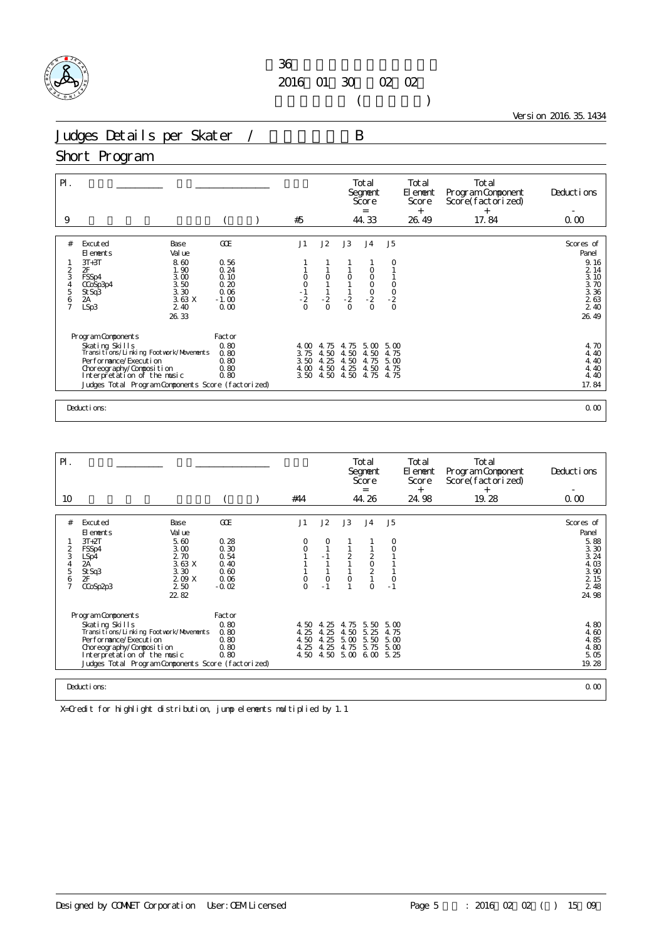

 $($ 

Version 2016.35.1434

Judges Details per Skater / B

#### Short Program

| $\mathsf{P}$ .     |                                                              |                 |                             |                                                      |                  | Total<br>Segnent<br>Score<br>$=$ |                                | Total<br>El ement<br>Score<br>$+$ | Total<br>Program Component<br>Score(factorized)<br>$+$ | Deductions                            |
|--------------------|--------------------------------------------------------------|-----------------|-----------------------------|------------------------------------------------------|------------------|----------------------------------|--------------------------------|-----------------------------------|--------------------------------------------------------|---------------------------------------|
| 9                  |                                                              |                 | #5                          |                                                      |                  | 44.33                            |                                | 26.49                             | 17.84                                                  | 0.00                                  |
| #                  | Excuted<br>Base<br>Val ue<br>El ements<br>$3T+3T$<br>8.60    | GOE<br>0.56     | J1                          | J2                                                   | J3               | J <sub>4</sub>                   | J <sub>5</sub><br>0            |                                   |                                                        | Scores of<br>Panel<br>9.16            |
| $\overline{c}$     | 2F<br>1.90                                                   | 0.24            |                             |                                                      |                  |                                  |                                |                                   |                                                        | 2 14                                  |
| 3<br>$\frac{4}{5}$ | 3.00<br>FSSp4<br>3.50<br>CCoSp3p4                            | 0.10<br>0.20    | 0                           | $\circ$                                              | $\circ$          | O                                |                                |                                   |                                                        | 3.10<br>$\frac{3}{3}$ $\frac{70}{36}$ |
| $\frac{6}{7}$      | 3.30<br>St Sq3<br>2A<br>3.63 X                               | 0.06<br>$-1.00$ | $-0$<br>$-1$<br>$-2$<br>$0$ | $\mathbf{1}$<br>$\mathbin{\mathsf{I}} 2$<br>$\Omega$ | $-2$<br>$\Omega$ | $\frac{0}{2}$                    | $\frac{0}{0}$<br>$\frac{2}{0}$ |                                   |                                                        | $\frac{2}{2}$ $\frac{63}{40}$         |
|                    | LSp3<br>2.40<br>26, 33                                       | 0.00            |                             |                                                      |                  | $\circ$                          |                                |                                   |                                                        | 26.49                                 |
|                    | Program Components                                           | Factor          |                             |                                                      |                  |                                  |                                |                                   |                                                        |                                       |
|                    | Skating Skills<br>Transi ti ons/Li nki ng Footvork/Movements | 0.80<br>0.80    | 4.00<br>3.75                | 4.75<br>4.50                                         | 4.75<br>4.50     | 5.00<br>4.50                     | 5.00<br>4.75                   |                                   |                                                        | 4.70<br>4.40                          |
|                    | Performance/Execution<br>Choreography/Composition            | 0.80<br>0.80    | 3.50<br>4.00                | 4.25<br>4.50                                         | 4.50<br>4.25     | 4.75<br>4.50                     | 5.00<br>4.75                   |                                   |                                                        | 4.40<br>4.40                          |
|                    | Interpretation of the music                                  | 0.80            | 3.50                        | 4.50                                                 | 4.50             | 4.75                             | 4.75                           |                                   |                                                        | 4.40                                  |
|                    | Judges Total Program Components Score (factorized)           |                 |                             |                                                      |                  |                                  |                                |                                   |                                                        | 17.84                                 |
|                    | Deductions:                                                  |                 |                             |                                                      |                  |                                  |                                |                                   |                                                        | 0.00                                  |

| $\mathsf{P}$ .                               |                                                                                                                                                                                                                              |                 |                                                                |  |                                      |                                    |                                           | Total<br>Segnent<br>Score<br>$=$           |                                       | Total<br>El enent<br>Score<br>$^{+}$ | Total<br>Program Component<br>Score(factorized)<br>$^{+}$ | Deductions                                                                                        |
|----------------------------------------------|------------------------------------------------------------------------------------------------------------------------------------------------------------------------------------------------------------------------------|-----------------|----------------------------------------------------------------|--|--------------------------------------|------------------------------------|-------------------------------------------|--------------------------------------------|---------------------------------------|--------------------------------------|-----------------------------------------------------------|---------------------------------------------------------------------------------------------------|
| 10                                           |                                                                                                                                                                                                                              |                 |                                                                |  | #44                                  |                                    |                                           | 44.26                                      |                                       | 24.98                                | 19.28                                                     | 0.00                                                                                              |
| #<br>2<br>3<br>4<br>5<br>6<br>$\overline{7}$ | Excuted<br>Base<br>Val ue<br>El ements<br>5.60<br>$3T+2T$<br>3.00<br>FSSp4<br>2.70<br>LSp4<br>2A<br>St Sq3<br>3.30<br>2F<br>2 50<br>CCoSp2p3<br>22.82                                                                        | 3.63 X<br>209 X | GOE<br>0.28<br>0.30<br>0.54<br>0.40<br>0.60<br>0.06<br>$-0.02$ |  | J1<br>0<br>0<br>0<br>$\Omega$        | J2<br>0<br>$-1$<br>$\circ$<br>$-1$ | J3<br>$\overline{2}$<br>$\circ$           | J <sub>4</sub><br>$202$<br>$21$<br>$\circ$ | J5<br>0<br>$\circ$<br>$\circ$<br>$-1$ |                                      |                                                           | Scores of<br>Panel<br>$\frac{5}{3}$ 88<br>3.30<br>3.24<br>4.03<br>3.90<br>2 1 5<br>2 4 8<br>24.98 |
|                                              | Program Components<br>Skating Skills<br>Transi ti ons/Li nki ng Footvork/Movements<br>Performance/Execution<br>Choreography/Composition<br>Interpretation of the music<br>Judges Total Program Components Score (factorized) |                 | Factor<br>0.80<br>0.80<br>0.80<br>0.80<br>0.80                 |  | 4.50<br>4.25<br>4.50<br>4.25<br>4.50 | 4.25<br>4.25<br>4.25<br>4.25       | 4.75<br>4.50<br>5.00<br>4.75<br>4.50 5.00 | 5.50<br>5.25<br>5.50<br>5.75<br>6,00,5.25  | 5.00<br>4.75<br>5.00<br>5.00          |                                      |                                                           | 4.80<br>4.60<br>4.85<br>4.80<br>5.05<br>19.28                                                     |
|                                              | 0.00<br>Deductions:                                                                                                                                                                                                          |                 |                                                                |  |                                      |                                    |                                           |                                            |                                       |                                      |                                                           |                                                                                                   |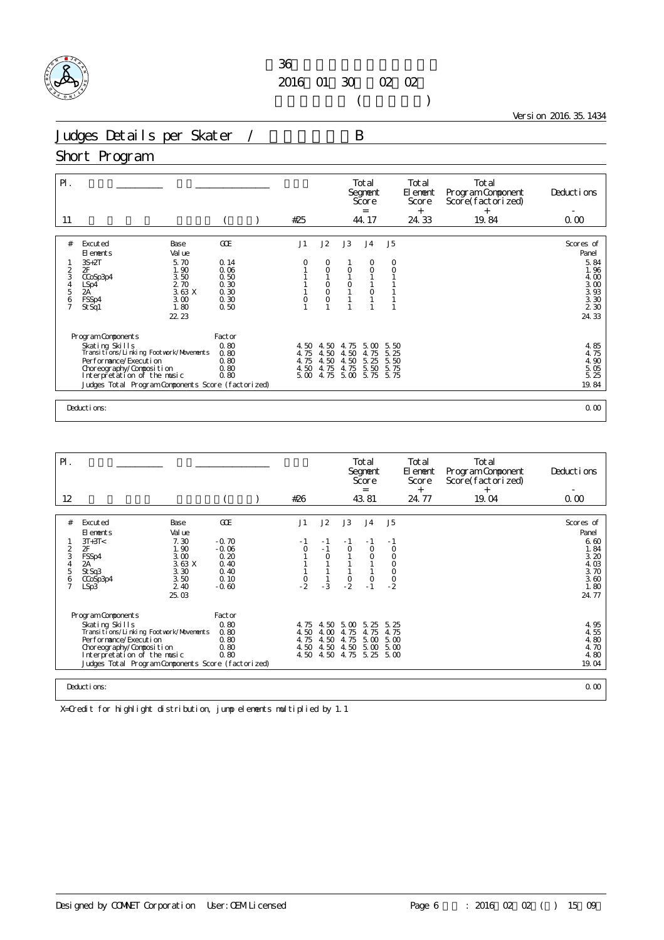

 $($ 

Version 2016.35.1434

Judges Details per Skater / B

## Short Program

| GOE<br>J1<br>J2<br>J3<br>J <sub>5</sub><br>Excuted<br>J <sub>4</sub><br>#<br>Base<br>Val ue<br>El ements<br>5.70<br>$3S+2T$<br>0.14<br>0<br>O<br>O<br>0<br>2F<br>1.90<br>0.06<br>O<br>$\circ$<br>$\circ$<br>2<br>$\circ$<br>3<br>3.50<br>0.50<br>CCoSp3p4<br>2.70<br>0.30<br>$_{\rm O}^{\rm O}$<br>$\frac{0}{1}$<br>$\frac{4}{5}$<br>LSp4<br>2A<br>3.63X<br>0.30<br>$\circ$<br>0.30<br>3.00<br>$\circ$<br>6<br>FSSp4<br>0<br>1.80<br>7<br>0.50<br>St Sq1<br>22.23<br>Program Components<br>Factor<br>0.80<br>Skating Skills<br>4.50<br>4.75<br>5.00<br>5.50<br>4.50<br>Transitions/Linking Footwork/Movements<br>0.80<br>5.25<br>4.75<br>4.50<br>4.50<br>4.75<br>Performance/Execution<br>0.80<br>4.75<br>5.25<br>5.50<br>4.50<br>4.50<br>Choreography/Composition<br>0.80<br>4.75<br>4.75<br>5.50<br>5.75<br>4.50<br>Interpretation of the music<br>5.00 5.75 5.75<br>0.80<br>4.75<br>5.00<br>Judges Total Program Components Score (factorized) | $P$ .<br>11 |  | #25 |  | Total<br>Segnent<br>Score<br>$=$<br>44.17 | Total<br>El ement<br>Score<br>$^{+}$<br>24.33 | Total<br>Program Component<br>Score(factorized)<br>$^{+}$<br>19.84 | Deductions<br>0.00                                                                     |
|---------------------------------------------------------------------------------------------------------------------------------------------------------------------------------------------------------------------------------------------------------------------------------------------------------------------------------------------------------------------------------------------------------------------------------------------------------------------------------------------------------------------------------------------------------------------------------------------------------------------------------------------------------------------------------------------------------------------------------------------------------------------------------------------------------------------------------------------------------------------------------------------------------------------------------------------------|-------------|--|-----|--|-------------------------------------------|-----------------------------------------------|--------------------------------------------------------------------|----------------------------------------------------------------------------------------|
|                                                                                                                                                                                                                                                                                                                                                                                                                                                                                                                                                                                                                                                                                                                                                                                                                                                                                                                                                   |             |  |     |  |                                           |                                               |                                                                    | Scores of<br>Panel<br>5.84<br>1.96<br>4.00<br>$300$<br>$393$<br>$30$<br>$230$<br>24.33 |
| Deductions:                                                                                                                                                                                                                                                                                                                                                                                                                                                                                                                                                                                                                                                                                                                                                                                                                                                                                                                                       |             |  |     |  |                                           |                                               |                                                                    | $4.85$<br>$4.75$<br>4.90<br>5.05<br>5.25<br>19.84<br>0.00                              |

| $\mathsf{P}$ .                          |                                                                                                                                                                                                                              |                                                                      |                                      |                                      |                                                                    | Total<br>Segnent<br>Score<br>$=$                     |                                                                   | Total<br>El ement<br>Score<br>$^{+}$ | Total<br>Program Component<br>Score(factorized)<br>$^{+}$ | Deductions                                                                          |
|-----------------------------------------|------------------------------------------------------------------------------------------------------------------------------------------------------------------------------------------------------------------------------|----------------------------------------------------------------------|--------------------------------------|--------------------------------------|--------------------------------------------------------------------|------------------------------------------------------|-------------------------------------------------------------------|--------------------------------------|-----------------------------------------------------------|-------------------------------------------------------------------------------------|
| 12                                      |                                                                                                                                                                                                                              |                                                                      | #26                                  |                                      |                                                                    | 43.81                                                |                                                                   | 24.77                                | 19.04                                                     | 0.00                                                                                |
| #<br>$\overline{2}$<br>3<br>4<br>5<br>6 | Excuted<br>Base<br>Val ue<br>El ements<br>$3T+3T<$<br>7.30<br>2F<br>1.90<br>3.00<br>FSSp4<br>3.63 X<br>2A<br>St Sq3<br>3.30<br>3.50<br>$C\text{CoSp3p4}$<br>2.40<br>LSp3<br>25.03                                            | GOE<br>$-0.70$<br>$-0.06$<br>0.20<br>0.40<br>0.40<br>0.10<br>$-0.60$ | J1<br>$\frac{0}{2}$                  | J2<br>- 1<br>$-1$<br>$\circ$<br>$-3$ | J3<br>- 1<br>$\circ$<br>$\begin{smallmatrix}0\\2\end{smallmatrix}$ | J <sub>4</sub><br>$-1$<br>$\circ$<br>$\circ$<br>$-1$ | J <sub>5</sub><br>- 1<br>$\circ$<br>0<br>$\circ$<br>$\frac{0}{2}$ |                                      |                                                           | Scores of<br>Panel<br>6.60<br>1.84<br>3.20<br>4.03<br>3.70<br>3.60<br>1.80<br>24.77 |
|                                         | Program Components<br>Skating Skills<br>Transi ti ons/Li nki ng Footvork/Movements<br>Performance/Execution<br>Choreography/Composition<br>Interpretation of the music<br>Judges Total Program Components Score (factorized) | Factor<br>0.80<br>0.80<br>0.80<br>0.80<br>0.80                       | 4.75<br>4.50<br>4.75<br>4.50<br>4.50 | 4.50<br>4.00<br>4.50<br>4.50<br>4.50 | 5.00<br>4.75<br>4.75<br>4.50<br>4.75                               | 5.25<br>4.75<br>5.00<br>5.00<br>5.25                 | 5.25<br>4.75<br>5.00<br>5.00<br>5.00                              |                                      |                                                           | 4.95<br>4.55<br>4.80<br>4.70<br>4.80<br>19.04                                       |
|                                         | Deductions:                                                                                                                                                                                                                  |                                                                      |                                      |                                      |                                                                    |                                                      |                                                                   |                                      |                                                           | 0.00                                                                                |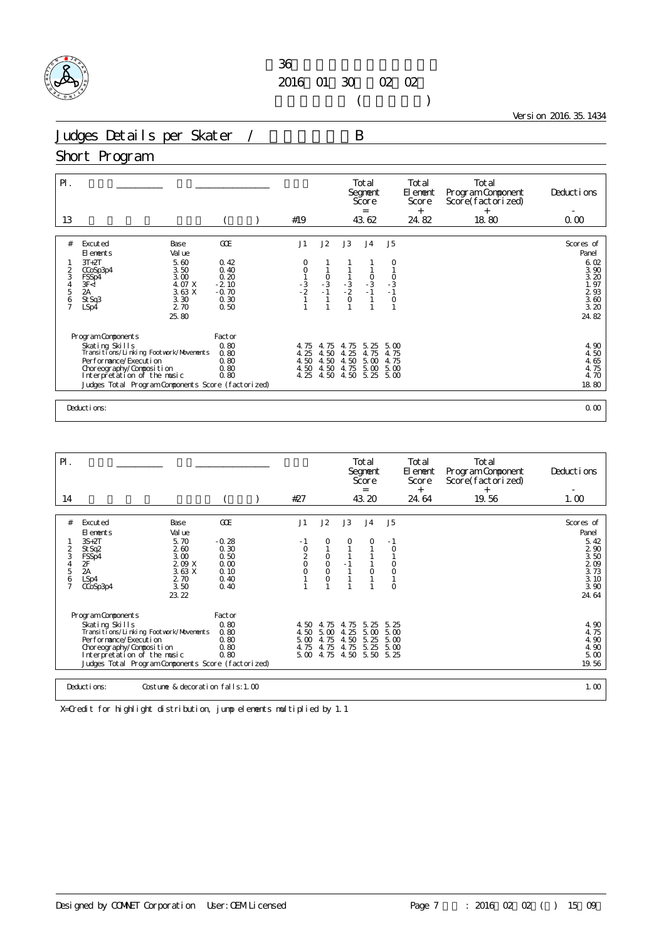

 $($ 

Version 2016.35.1434

Judges Details per Skater / B

## Short Program

| $\mathsf{P}$ .<br>13                                                         |                                                                                                                                                                                                                            |                                                                   | #19                                                  |                                                    |                                           | Total<br>Segnent<br>Score<br>$=$<br>43.62                      |                                                                                    | Total<br>El ement<br>Score<br>$^{+}$<br>24.82 | Total<br>Program Component<br>Score(factorized)<br>$+$<br>18.80 | Deductions<br>0.00                                                                                  |
|------------------------------------------------------------------------------|----------------------------------------------------------------------------------------------------------------------------------------------------------------------------------------------------------------------------|-------------------------------------------------------------------|------------------------------------------------------|----------------------------------------------------|-------------------------------------------|----------------------------------------------------------------|------------------------------------------------------------------------------------|-----------------------------------------------|-----------------------------------------------------------------|-----------------------------------------------------------------------------------------------------|
| #<br>$\frac{2}{3}$<br>$\begin{array}{c} 4 \\ 5 \end{array}$<br>$\frac{6}{7}$ | Excuted<br>Base<br>Val ue<br>El ements<br>5.60<br>$3T+2T$<br>3.50<br>CCoSp3p4<br>3.00<br>FSSp4<br>4. 07 X<br>3F <l<br><math>\overline{2}</math>A<br/>3.63 X<br/>St Sq3<br/>3.30<br/>2.70<br/>LSp4<br/>25.80</l<br>         | GOE<br>0.42<br>0.40<br>0.20<br>$-2.10$<br>$-0.70$<br>0.30<br>0.50 | J1<br>0<br>$\circ$<br>$\frac{1}{3}$<br>$\frac{3}{2}$ | J2<br>$\begin{array}{c} 0 \\ -3 \\ -1 \end{array}$ | J3<br>$\frac{1}{3}$<br>$\frac{3}{2}$<br>0 | J <sub>4</sub><br>$\begin{array}{c} 0 \\ -3 \\ -1 \end{array}$ | J5<br>O<br>$\begin{array}{c} 0 \\ -3 \\ -1 \end{array}$<br>$\circ$<br>$\mathbf{1}$ |                                               |                                                                 | Scores of<br>Panel<br>6.02<br>3.90<br>3.20<br>1.97<br>$\frac{2}{3}$ $\frac{6}{3}$<br>3. 20<br>24.82 |
|                                                                              | Program Components<br>Skating Skills<br>Transitions/Linking Footwork/Movements<br>Per for mance/Execution<br>Choreography/Composition<br>Interpretation of the music<br>Judges Total Program Components Score (factorized) | Factor<br>0.80<br>0.80<br>0.80<br>0.80<br>0.80                    | 4.75<br>4.25<br>4.50<br>4.50<br>4.25                 | 4.75<br>4.50<br>4.50<br>4.50<br>4.50               | 4.75<br>4.25<br>4.50<br>4.75<br>4.50      | 5.25<br>4.75<br>5.00<br>5.00<br>5.25                           | 5.00<br>4.75<br>4.75<br>5.00<br>5.00                                               |                                               |                                                                 | 4.90<br>4.50<br>4.65<br>4.75<br>4.70<br>18.80                                                       |
|                                                                              | Deductions:                                                                                                                                                                                                                |                                                                   |                                                      |                                                    |                                           |                                                                |                                                                                    |                                               |                                                                 | 0.00                                                                                                |

| $P$ .               |                                                              |                 |                                           |                    |              | Total<br>Segnent<br>Score<br>$=$ |              | Total<br>El ement<br>Score<br>$^{+}$ | Total<br>Program Component<br>Score(factorized)<br>$^{+}$ | Deductions         |
|---------------------|--------------------------------------------------------------|-----------------|-------------------------------------------|--------------------|--------------|----------------------------------|--------------|--------------------------------------|-----------------------------------------------------------|--------------------|
| 14                  |                                                              |                 | #27                                       |                    |              | 43.20                            |              | 24.64                                | 19.56                                                     | 1.00               |
|                     |                                                              |                 |                                           |                    |              |                                  |              |                                      |                                                           |                    |
| #                   | Excuted<br>Base<br>Val ue<br>El ements                       | GOE             | J1                                        | J2                 | J3           | J <sub>4</sub>                   | J5           |                                      |                                                           | Scores of<br>Panel |
| $\overline{c}$      | 5.70<br>$3S+2T$<br>St Sq2<br>260                             | $-0.28$<br>0.30 | - 1                                       | O                  | 0            | 0                                | $-1$<br>0    |                                      |                                                           | 5.42<br>290        |
| 3                   | 3.00<br>FSSp4                                                | 0.50            | $\begin{matrix} 0 \\ 2 \\ 0 \end{matrix}$ | $\circ$            |              |                                  |              |                                      |                                                           | 3.50               |
| 5                   | 209X<br>2F<br>2A<br>3.63 X                                   | 0.00<br>0.10    | $\circ$                                   | $\circ$<br>$\circ$ |              | $\circ$                          | 0<br>$\circ$ |                                      |                                                           | 209<br>3.73        |
| 6<br>$\overline{7}$ | 2.70<br>LSp4<br>3.50<br>CCoSp3p4                             | 0.40<br>0.40    |                                           | $\overline{O}$     |              |                                  | $\Omega$     |                                      |                                                           | 3.10<br>3.90       |
|                     | 23.22                                                        |                 |                                           |                    |              |                                  |              |                                      |                                                           | 24.64              |
|                     | Program Components                                           | Factor          |                                           |                    |              |                                  |              |                                      |                                                           |                    |
|                     | Skating Skills<br>Transi ti ons/Li nki ng Footvork/Movements | 0.80<br>0.80    | 4.50<br>4.50                              | 4.75<br>5.00       | 4.75<br>4.25 | 5.25<br>5.00                     | 5.25<br>5.00 |                                      |                                                           | 4.90<br>4.75       |
|                     | Performance/Execution                                        | 0.80            | 5.00                                      | 4.75               | 4.50         | 5.25                             | 5.00         |                                      |                                                           | 4.90               |
|                     | Choreography/Composition<br>Interpretation of the music      | 0.80<br>0.80    | 4.75<br>5.00                              | 4.75<br>4.75       | 4.75<br>4.50 | 5.25<br>5.50                     | 5.00<br>5.25 |                                      |                                                           | 4.90<br>5.00       |
|                     | Judges Total Program Components Score (factorized)           |                 |                                           |                    |              |                                  |              |                                      |                                                           | 19.56              |
|                     |                                                              |                 |                                           |                    |              |                                  |              |                                      |                                                           |                    |
|                     | Deductions:<br>Costume & decoration falls: 1, 00             |                 |                                           |                    |              |                                  |              |                                      |                                                           | 1.00               |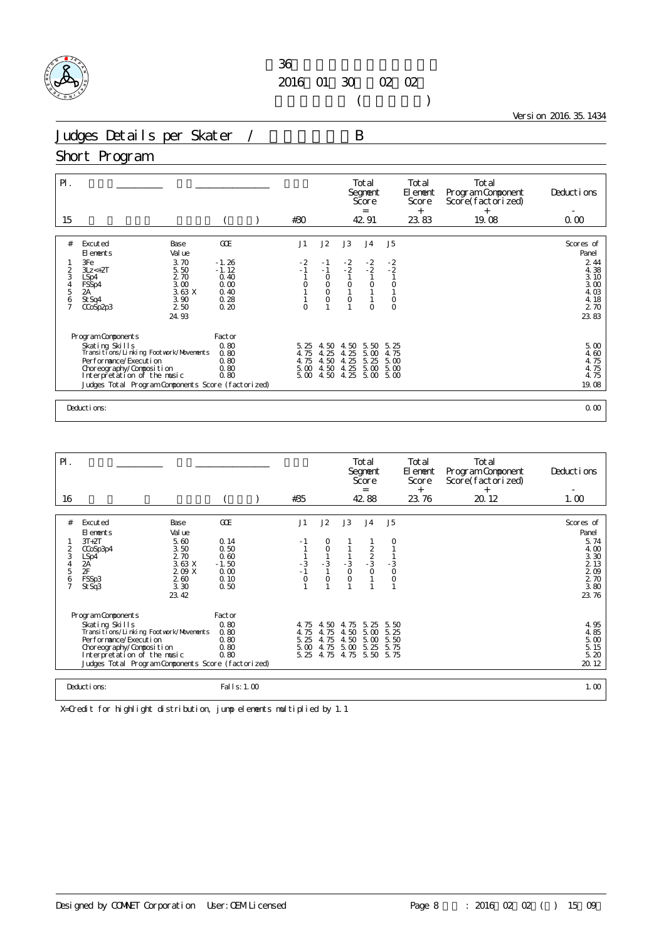

 $($ 

Version 2016.35.1434

Judges Details per Skater / B

#### Short Program

| $\mathsf{P}$ .<br>15                 |                                                            |                              | #30                 |                                      |                                                           | Total<br>Segnent<br>Score<br>$=$<br>42.91 |                               | Total<br>El ement<br>Score<br>$^{+}$<br>23.83 | Total<br>Program Component<br>Score(factorized)<br>$^{+}$<br>19.08 | Deductions<br>0.00          |
|--------------------------------------|------------------------------------------------------------|------------------------------|---------------------|--------------------------------------|-----------------------------------------------------------|-------------------------------------------|-------------------------------|-----------------------------------------------|--------------------------------------------------------------------|-----------------------------|
|                                      |                                                            |                              |                     |                                      |                                                           |                                           |                               |                                               |                                                                    |                             |
| #                                    | Excuted<br>Base<br>Val ue<br>El ements                     | <b>GCE</b>                   | J1                  | J2                                   | J3                                                        | J <sub>4</sub>                            | J <sub>5</sub>                |                                               |                                                                    | Scores of<br>Panel          |
| 2<br>3                               | 3.70<br>3Fe<br>5.50<br>$3Lz \leftarrow 2T$<br>2.70<br>LSp4 | $-1.26$<br>$-1.12$<br>0.40   | $-2$<br>$-1$        | $-1$<br>$-1$<br>$\circ$              | $-2$<br>$-2$                                              | $-2$<br>$-2$                              | $\frac{-2}{2}$                |                                               |                                                                    | 2 4 4<br>4.38<br>3.10       |
| $\frac{4}{5}$<br>6<br>$\overline{7}$ | 3.00<br>FSSp4<br>2A<br>3.63 X<br>3.90<br>St Sq4<br>2 50    | 0.00<br>0.40<br>0.28<br>0.20 | $\circ$<br>$\Omega$ | $\circ$<br>$\overline{O}$<br>$\circ$ | $\begin{smallmatrix} 0 \\ 1 \end{smallmatrix}$<br>$\circ$ | $\circ$<br>$\circ$                        | $\circ$<br>$\circ$<br>$\circ$ |                                               |                                                                    | 3.00<br>4.03<br>4.18<br>270 |
|                                      | CCoSp2p3<br>24.93                                          |                              |                     |                                      |                                                           |                                           |                               |                                               |                                                                    | 23.83                       |
|                                      | Program Components                                         | Factor                       |                     |                                      |                                                           |                                           |                               |                                               |                                                                    |                             |
|                                      | Skating Skills<br>Transitions/Linking Footvork/Movements   | 0.80<br>0.80                 | 5.25<br>4.75        | . 50<br>4.<br>4.25                   | 4.50<br>4.25                                              | 5.50<br>5.00                              | 5.25<br>4.75                  |                                               |                                                                    | 5.00<br>4.60                |
|                                      | Performance/Execution                                      | 0.80                         | 4.75                | 4.50                                 | 25<br>4.                                                  | 5.25                                      | 5.00                          |                                               |                                                                    | 4.75                        |
|                                      | Choreography/Composition<br>Interpretation of the music    | 0.80<br>0.80                 | 5.00<br>5.00        | 4.50<br>4.50                         | 4.25<br>4.25                                              | 5.00<br>5.00                              | 5.00<br>5.00                  |                                               |                                                                    | 4.75<br>4.75                |
|                                      | Judges Total Program Components Score (factorized)         |                              |                     |                                      |                                                           |                                           |                               |                                               |                                                                    | 19.08                       |
|                                      | Deductions:                                                |                              |                     |                                      |                                                           |                                           |                               |                                               | 0.00                                                               |                             |

| PI.                     |                             |                                                    |                 |              |              |               | Total<br>Segnent<br>Score<br>$=$ |                | Total<br>El ement<br>Score<br>$^{+}$ | Total<br>Program Component<br>Score(factorized)<br>$^{+}$ | Deductions    |
|-------------------------|-----------------------------|----------------------------------------------------|-----------------|--------------|--------------|---------------|----------------------------------|----------------|--------------------------------------|-----------------------------------------------------------|---------------|
| 16                      |                             |                                                    |                 | #35          |              |               | 42.88                            |                | 23.76                                | 20.12                                                     | 1.00          |
| #                       | Excuted                     | Base                                               | GOE             | J1           | J2           | J3            | J <sub>4</sub>                   | J <sub>5</sub> |                                      |                                                           | Scores of     |
|                         | El ements                   | Val ue                                             |                 |              |              |               |                                  |                |                                      |                                                           | Panel         |
| $\overline{\mathbf{c}}$ | $3T+2T$<br>CCoSp3p4         | 5.60<br>3.50                                       | 0.14<br>0.50    |              | 0<br>0       |               |                                  |                |                                      |                                                           | 5.74<br>4.00  |
| 3<br>4                  | LSp4                        | 2.70<br>3.63 X                                     | 0.60<br>$-1.50$ | $-3$         | $-3$         |               | $\frac{2}{2}$<br>$\frac{3}{0}$   |                |                                      |                                                           | 3.30<br>2 1 3 |
| 5                       | 2A<br>2F                    | 2.09 X                                             | 0.00            | $-1$         | $\mathbf{1}$ | $\frac{3}{0}$ |                                  | $\frac{3}{0}$  |                                      |                                                           | 209           |
| 6                       | FSSp3<br>St Sq3             | 260<br>3.30                                        | 0.10<br>0.50    | $\circ$      | $\circ$      | $\circ$       |                                  | O              |                                      |                                                           | 2 70<br>3.80  |
|                         |                             | 23.42                                              |                 |              |              |               |                                  |                |                                      |                                                           | 23.76         |
|                         | Program Components          |                                                    | Factor          |              |              |               |                                  |                |                                      |                                                           |               |
|                         | Skating Skills              |                                                    | 0.80            | 4.75         | 4.50         | 4.75          | 5.25                             | 5.50           |                                      |                                                           | 4.95          |
|                         | Per for mance/Execution     | Transi ti ons/Li nki ng Footvork/Movements         | 0.80<br>0.80    | 4.75<br>5.25 | 4.75<br>4.75 | 4.50<br>4.50  | 5.00<br>5.00                     | 5.25<br>5.50   |                                      |                                                           | 4.85<br>5.00  |
|                         | Choreography/Composition    |                                                    | 0.80            | 5.00         | 4.75         | 5.00          | 5.25                             | 5.75           |                                      |                                                           | 5.15          |
|                         | Interpretation of the music |                                                    | 0.80            | 5.25         | 4.75         | 4.75          | 5.50                             | 5.75           |                                      |                                                           | 5.20          |
|                         |                             | Judges Total Program Components Score (factorized) |                 |              |              |               |                                  |                |                                      |                                                           | 20.12         |
|                         |                             |                                                    |                 |              |              |               |                                  |                |                                      |                                                           |               |
|                         | Deductions:                 |                                                    | Fal I s: 1.00   |              |              |               |                                  |                |                                      |                                                           | 1.00          |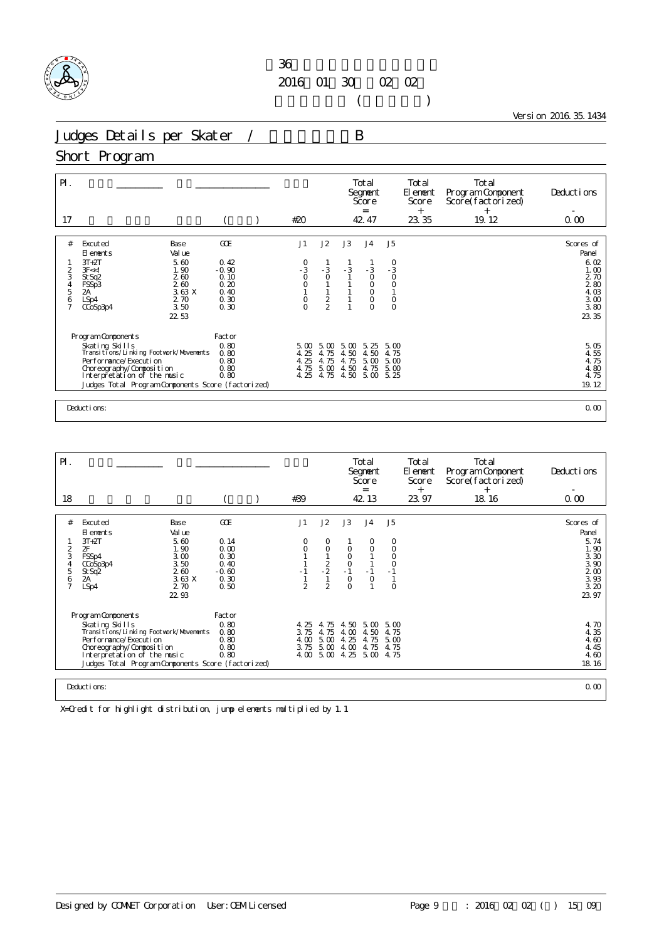

 $($ 

Version 2016.35.1434

Judges Details per Skater / B

### Short Program

| $P$ .<br>17    |                                                                                   |                 | #20                                         |                 |              | Total<br>Segnent<br>Score<br>$\equiv$<br>42.47 |                                             | Total<br>El ement<br>Score<br>$^{+}$<br>23.35 | Total<br>Program Component<br>Score(factorized)<br>$\ddot{}$<br>19.12 | Deductions<br>0.00 |
|----------------|-----------------------------------------------------------------------------------|-----------------|---------------------------------------------|-----------------|--------------|------------------------------------------------|---------------------------------------------|-----------------------------------------------|-----------------------------------------------------------------------|--------------------|
|                |                                                                                   |                 |                                             |                 |              |                                                |                                             |                                               |                                                                       |                    |
| #              | Excuted<br>Base<br>Val ue<br>El ements                                            | GOE             | J1                                          | J2              | J3           | J <sub>4</sub>                                 | J5                                          |                                               |                                                                       | Scores of<br>Panel |
|                | 5.60<br>$3T+2T$                                                                   | 0.42            | $\begin{smallmatrix}0\\-3\end{smallmatrix}$ |                 | $-3$         |                                                | $\begin{smallmatrix}0\\-3\end{smallmatrix}$ |                                               |                                                                       | 6.02               |
| 2<br>3         | 1.90<br>3F < 1<br>260<br>St Sq2                                                   | $-0.90$<br>0.10 | $\overline{O}$                              | $-3$<br>$\circ$ |              | $-3$<br>$\circ$                                | $\circ$                                     |                                               |                                                                       | 1.00<br>2 70       |
| 4<br>5         | 2.60<br>FSSp3                                                                     | 0.20            | $\begin{smallmatrix}0\\1\end{smallmatrix}$  |                 |              | $_{\rm O}^{\rm O}$                             | $\begin{smallmatrix}0\\1\end{smallmatrix}$  |                                               |                                                                       | $\frac{2}{4}$ 80   |
| 6              | 3.63X<br>2A<br>2.70<br>LSp4                                                       | 0.40<br>0.30    |                                             |                 |              | $\circ$                                        | $\circ$                                     |                                               |                                                                       | 3.00               |
| $\overline{7}$ | 3.50<br>CCoSp3p4                                                                  | 0.30            | $\begin{matrix} 0 \\ 0 \end{matrix}$        | $\frac{2}{2}$   |              | $\overline{O}$                                 | $\circ$                                     |                                               |                                                                       | 3.80               |
|                | 22 53                                                                             |                 |                                             |                 |              |                                                |                                             |                                               |                                                                       | 23.35              |
|                |                                                                                   |                 |                                             |                 |              |                                                |                                             |                                               |                                                                       |                    |
|                | Program Components                                                                | Factor<br>0.80  | 5.00                                        | 5.00            |              | 5.25                                           | 5.00                                        |                                               |                                                                       | 5.05               |
|                | Skating Skills<br>Transitions/Linking Footwork/Movements                          | 0.80            | 4.25                                        | 4.75            | 5.00<br>4.50 | 4.50                                           | 4.75                                        |                                               |                                                                       | 4.55               |
|                | Performance/Execution                                                             | 0.80            | 4.25                                        | 4.75            | 4.75         | 5.00                                           | 5.00                                        |                                               |                                                                       | 4.75               |
|                | Choreography/Composition                                                          | 0.80            | 4.75                                        | 5.00            | 4.50         | 4.75                                           | 5.00                                        |                                               |                                                                       | 4.80               |
|                | Interpretation of the music<br>Judges Total Program Components Score (factorized) | 0.80            | 4.25                                        | 4.75            | 4.50         | 5.00                                           | 5.25                                        |                                               |                                                                       | 4.75<br>19.12      |
|                |                                                                                   |                 |                                             |                 |              |                                                |                                             |                                               |                                                                       |                    |
|                |                                                                                   |                 |                                             |                 |              |                                                |                                             |                                               |                                                                       |                    |
|                | Deductions:                                                                       |                 |                                             |                 |              |                                                |                                             |                                               | 0.00                                                                  |                    |

| $\mathsf{P}$ .                          |                                                                                                                                                                                                                              |                                                               |                                                         |                                  |                                                 |                                                        | Total<br>Segnent<br>Score<br>$=$     |                                                 | <b>Total</b><br>El ement<br>Score<br>$^{+}$ | Total<br>Program Component<br>Score(factorized)<br>$^{+}$ | Deductions                                                              |
|-----------------------------------------|------------------------------------------------------------------------------------------------------------------------------------------------------------------------------------------------------------------------------|---------------------------------------------------------------|---------------------------------------------------------|----------------------------------|-------------------------------------------------|--------------------------------------------------------|--------------------------------------|-------------------------------------------------|---------------------------------------------|-----------------------------------------------------------|-------------------------------------------------------------------------|
| 18                                      |                                                                                                                                                                                                                              |                                                               |                                                         | #39                              |                                                 |                                                        | 42.13                                |                                                 | 23.97                                       | 18.16                                                     | 0.00                                                                    |
|                                         |                                                                                                                                                                                                                              |                                                               |                                                         |                                  |                                                 |                                                        |                                      |                                                 |                                             |                                                           |                                                                         |
| #                                       | Excuted<br>El ements                                                                                                                                                                                                         | Base<br>Val ue                                                | GOE                                                     | J1                               | J2                                              | J3                                                     | J <sub>4</sub>                       | J5                                              |                                             |                                                           | Scores of<br>Panel                                                      |
| 2<br>3<br>4<br>5<br>6<br>$\overline{7}$ | $3T+2T$<br>2F<br>FSSp4<br>CCoSp3p4<br>St Sq2<br>2A<br>LSp4                                                                                                                                                                   | 5.60<br>1.90<br>3.00<br>3.50<br>260<br>3.63X<br>2.70<br>22.93 | 0.14<br>0.00<br>0.30<br>0.40<br>$-0.60$<br>0.30<br>0.50 | 0<br>0<br>$-1$<br>$\mathfrak{D}$ | O<br>$\circ$<br>$\frac{2}{2}$<br>$\mathfrak{D}$ | O<br>$_{\rm O}^{\rm O}$<br>$-1$<br>$\circ$<br>$\Omega$ | 0<br>$\circ$<br>$-1$<br>$\circ$      | 0<br>$\circ$<br>O<br>$\circ$<br>$-1$<br>$\circ$ |                                             |                                                           | 5.74<br>1.90<br>3.30<br>3.90<br>2 <sub>0</sub><br>3.93<br>3.20<br>23.97 |
|                                         | Program Components<br>Skating Skills<br>Transi ti ons/Li nki ng Footvork/Movements<br>Performance/Execution<br>Choreography/Composition<br>Interpretation of the music<br>Judges Total Program Components Score (factorized) |                                                               | Factor<br>0.80<br>0.80<br>0.80<br>0.80<br>0.80          | 4.25<br>3.75<br>4.00<br>3.75     | 4.75<br>4.75<br>5.00<br>5.00                    | 4.50<br>4.00<br>4.25<br>4.00<br>$4.00\,5.00\,4.25$     | 5.00<br>4.50<br>4.75<br>4.75<br>5.00 | 5.00<br>4.75<br>5.00<br>4.75<br>4.75            |                                             |                                                           | 4.70<br>4.35<br>4.60<br>4.45<br>4.60<br>18.16                           |
|                                         | Deductions:                                                                                                                                                                                                                  |                                                               |                                                         |                                  |                                                 |                                                        |                                      |                                                 |                                             |                                                           | 0.00                                                                    |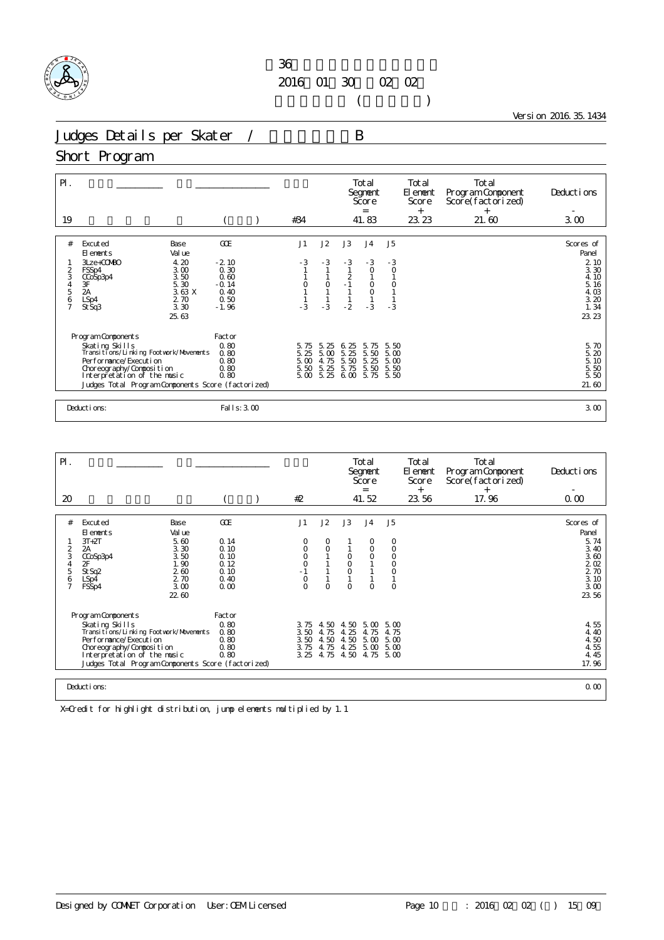

 $($ 

Version 2016.35.1434

Judges Details per Skater / B

# Short Program

| $\mathsf{P}$ .<br>19          |                                                                                                                                                                                        |                                                |                                            | #34                          |                              |                                | Total<br>Segnent<br>Score<br>$=$<br>41.83 |                                   | Total<br>El ement<br>Score<br>$+$<br>23.23 | Total<br>Program Component<br>Score(factorized)<br>$^{+}$<br>21.60 | Deductions<br>3.00                                             |
|-------------------------------|----------------------------------------------------------------------------------------------------------------------------------------------------------------------------------------|------------------------------------------------|--------------------------------------------|------------------------------|------------------------------|--------------------------------|-------------------------------------------|-----------------------------------|--------------------------------------------|--------------------------------------------------------------------|----------------------------------------------------------------|
| #<br>$\frac{2}{3}$            | Excuted<br>El ements<br>$3Lze+COVBO$<br>FSSp4                                                                                                                                          | Base<br>Val ue<br>4.20<br>3.00                 | GOE<br>$-2.10$<br>0.30                     | J1<br>$-3$                   | J2<br>$-3$                   | J3<br>$-3$                     | J <sub>4</sub><br>$-3$<br>$\circ$         | J <sub>5</sub><br>$-3$<br>$\circ$ |                                            |                                                                    | Scores of<br>Panel<br>2 10<br>3.30                             |
| 4<br>5<br>6<br>$\overline{7}$ | CCoSp3p4<br>$3\mathsf{F}$<br>$\overline{2}$ A<br>LSp4<br>St Sq3                                                                                                                        | 3.50<br>5.30<br>3.63X<br>2.70<br>3.30<br>25.63 | 0.60<br>$-0.14$<br>0.40<br>0.50<br>$-1.96$ | 0<br>$-3$                    | $\circ$<br>$-3$              | $\overline{c}$<br>$-1$<br>$-2$ | $\circ$<br>$\overline{O}$<br>$-3$         | $-3$                              |                                            |                                                                    | 4.10<br>5.16<br>4.03<br>3.20<br>1.34<br>23.23                  |
|                               | Program Components<br>Skating Skills                                                                                                                                                   |                                                | Factor<br>0.80                             | 5.75                         | 5.25                         | 6.25                           | 5.75                                      | 5.50                              |                                            |                                                                    |                                                                |
|                               | Transi ti ons/Li nki ng Footvork/Movements<br>Per for mance/Execution<br>Choreography/Composition<br>Interpretation of the music<br>Judges Total Program Components Score (factorized) |                                                | 0.80<br>0.80<br>0.80<br>0.80               | 5.25<br>5.00<br>5.50<br>5.00 | 5.00<br>4.75<br>5.25<br>5.25 | 5.25<br>5.50<br>5.75<br>6.00   | 5.50<br>5.25<br>5.50<br>5.75              | 5.00<br>5.00<br>5.50<br>5.50      |                                            |                                                                    | 5.70<br>5.20<br>$\frac{5}{5}$ $\frac{10}{50}$<br>5.50<br>21.60 |
|                               | Deductions:                                                                                                                                                                            |                                                | Fal I s: 3.00                              |                              |                              |                                |                                           |                                   |                                            |                                                                    | 3.00                                                           |

| $\mathsf{P}$ .      |                                                                                   |                |              |  |                           |              |                    | Total<br>Segnent<br>Score<br>$=$ |              | Total<br>El enent<br>Score<br>$^{+}$ | Total<br>Program Component<br>Score (factorized)<br>$^{+}$ | Deductions    |
|---------------------|-----------------------------------------------------------------------------------|----------------|--------------|--|---------------------------|--------------|--------------------|----------------------------------|--------------|--------------------------------------|------------------------------------------------------------|---------------|
| 20                  |                                                                                   |                |              |  | #2                        |              |                    | 41.52                            |              | 23.56                                | 17.96                                                      | 0.00          |
|                     |                                                                                   |                |              |  |                           |              |                    |                                  |              |                                      |                                                            |               |
| #                   | Excuted                                                                           | Base           | GOE          |  | J1                        | J2           | J3                 | J <sub>4</sub>                   | J5           |                                      |                                                            | Scores of     |
|                     | El ements<br>$3T+2T$                                                              | Val ue<br>5.60 | 0.14         |  | O                         | O            |                    | 0                                | 0            |                                      |                                                            | Panel<br>5.74 |
| 2                   | 2A                                                                                | 3.30           | 0.10         |  | $\circ$                   | $\circ$      |                    | $\circ$                          | 0            |                                      |                                                            | 3.40          |
| 3<br>4              | CCoSp3p4<br>2F                                                                    | 3.50<br>1.90   | 0.10<br>0.12 |  | $\circ$<br>$\overline{O}$ |              | $\circ$<br>$\circ$ | $\Omega$                         | $\circ$<br>0 |                                      |                                                            | 3.60<br>202   |
| 5                   | St Sq2                                                                            | 260            | 0.10         |  |                           |              | $\circ$            |                                  | 0            |                                      |                                                            | 2 70          |
| 6<br>$\overline{7}$ | LSp4                                                                              | 2.70<br>3.00   | 0.40<br>0.00 |  | $\circ$<br>$\overline{O}$ | $\Omega$     | $\Omega$           | $\Omega$                         | $\circ$      |                                      |                                                            | 3.10<br>3.00  |
|                     | FSSp4                                                                             | 22.60          |              |  |                           |              |                    |                                  |              |                                      |                                                            | 23.56         |
|                     |                                                                                   |                |              |  |                           |              |                    |                                  |              |                                      |                                                            |               |
|                     | Program Components                                                                |                | Factor       |  |                           |              |                    |                                  |              |                                      |                                                            |               |
|                     | Skating Skills                                                                    |                | 0.80         |  | 3.75                      | 4.50         | 4.50               | 5.00                             | 5.00         |                                      |                                                            | 4.55          |
|                     | Transi ti ons/Li nki ng Footvork/Movements<br>Per for mance/Execution             |                | 0.80<br>0.80 |  | 3.50<br>3.50              | 4.75<br>4.50 | 4.25<br>4.50       | 4.75<br>5.00                     | 4.75<br>5.00 |                                      |                                                            | 4.40<br>4.50  |
|                     | Choreography/Composition                                                          |                | 0.80         |  | 3.75                      | 4.75         | 4.25               | 5.00                             | 5.00         |                                      |                                                            | 4.55          |
|                     | Interpretation of the music<br>Judges Total Program Components Score (factorized) |                | 0.80         |  | 3.25                      | 4.75         | 4.50               | 4.75                             | 5.00         |                                      |                                                            | 4.45<br>17.96 |
|                     |                                                                                   |                |              |  |                           |              |                    |                                  |              |                                      |                                                            |               |
| Deductions:         |                                                                                   |                |              |  |                           |              |                    |                                  |              |                                      |                                                            |               |
|                     |                                                                                   |                |              |  |                           |              |                    |                                  |              |                                      |                                                            | 0.00          |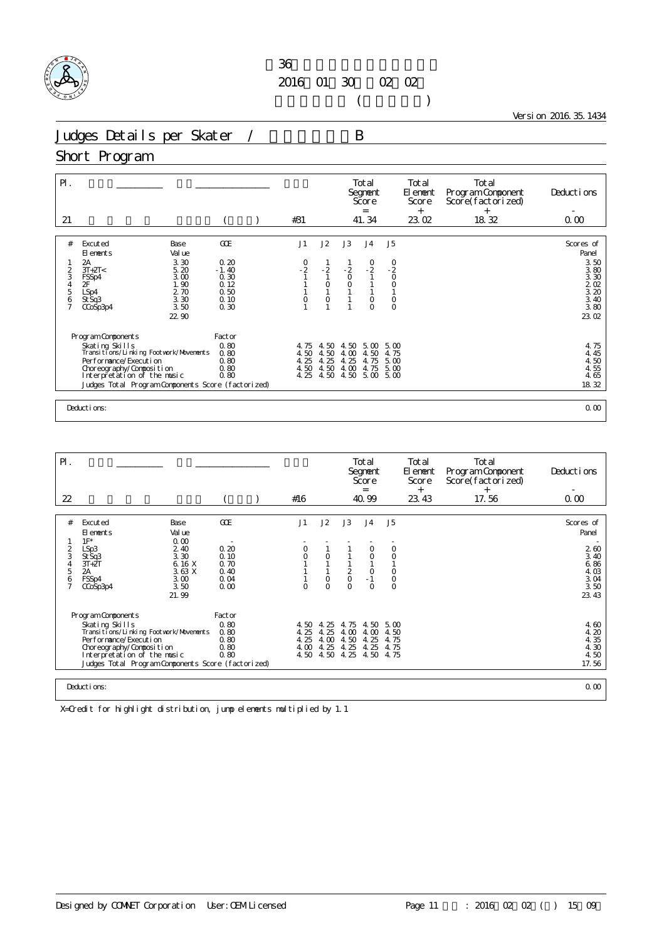

 $($ 

Version 2016.35.1434

Judges Details per Skater / B

### Short Program

| $\mathsf{P}$ .                 |                                                                                   |                              | #31           |                         |                  | Total<br>Segnent<br>Score<br>$=$ |                               | Total<br>El ement<br>Score<br>$+$ | Total<br>Program Component<br>Score(factorized)<br>$^{+}$ | Deductions                                        |
|--------------------------------|-----------------------------------------------------------------------------------|------------------------------|---------------|-------------------------|------------------|----------------------------------|-------------------------------|-----------------------------------|-----------------------------------------------------------|---------------------------------------------------|
| 21                             |                                                                                   |                              |               |                         |                  | 41.34                            |                               | 23.02                             | 18.32                                                     | 0.00                                              |
| #                              | Excuted<br>Base<br>Val ue<br>El ements                                            | GOE                          | J1            | J2                      | J3               | J <sub>4</sub>                   | J <sub>5</sub>                |                                   |                                                           | Scores of<br>Panel                                |
| 2<br>3                         | 3.30<br>2A<br>$3T+2T<$<br>5.20<br>3.00<br>FSSp4                                   | 0.20<br>$-1.40$<br>0.30      | $\frac{0}{2}$ | $\frac{1}{1}$           | $\frac{2}{0}$    | $-2$<br>$-2$                     | $-2$<br>0                     |                                   |                                                           | 3.50<br>3.80<br>3.30                              |
| $\frac{4}{5}$<br>$\frac{6}{7}$ | 1.90<br>2F<br>2.70<br>LSp4<br>3.30<br>St Sq3<br>3.50<br>CCoSp3p4                  | 0.12<br>0.50<br>0.10<br>0.30 | 0             | $\circ$<br>1<br>$\circ$ | $\circ$          | $\circ$<br>$\circ$               | $\circ$<br>$\circ$<br>$\circ$ |                                   |                                                           | $\frac{2}{3}$ $\frac{02}{20}$<br>$3.40$<br>$3.80$ |
|                                | 22.90                                                                             |                              |               |                         |                  |                                  |                               |                                   |                                                           | 23.02                                             |
|                                | Program Components                                                                | Factor                       |               |                         |                  |                                  |                               |                                   |                                                           |                                                   |
|                                | Skating Skills<br>Transi ti ons/Li nki ng Footvork/Movements                      | 0.80<br>0.80                 | 4.75<br>4.50  | 4.50<br>4.50            | 4.50<br>4.00     | 5.00<br>4.50                     | 5.00<br>4.75                  |                                   |                                                           | 4.75<br>4.45                                      |
|                                | Performance/Execution<br>Choreography/Composition                                 | 0.80<br>0.80                 | 4.25<br>4.50  | 4.25<br>4.50            | 25<br>4.<br>4.00 | 4.75<br>4.75                     | 5.00<br>5.00                  |                                   |                                                           | 4.50<br>4.55                                      |
|                                | Interpretation of the music<br>Judges Total Program Components Score (factorized) | 0.80                         | 4.25          | 4.50                    | 4.50             | 5.00                             | 5.00                          |                                   |                                                           | 4.65<br>18.32                                     |
|                                |                                                                                   |                              |               |                         |                  |                                  |                               |                                   |                                                           |                                                   |
|                                | Deductions:                                                                       |                              |               |                         |                  |                                  |                               |                                   |                                                           | 0.00                                              |

| $\mathsf{P}$ .                            |                                                                                                                                                                                                                                |                                                                  |                                                | #16                                  |                                      |                                                  | Total<br>Segnent<br>Score<br>$=$<br>40.99   |                                                   | Total<br>El ement<br>Score<br>$^{+}$ | Total<br>Program Component<br>Score(factorized)<br>$^{+}$<br>17.56 | Deductions<br>0.00                                   |
|-------------------------------------------|--------------------------------------------------------------------------------------------------------------------------------------------------------------------------------------------------------------------------------|------------------------------------------------------------------|------------------------------------------------|--------------------------------------|--------------------------------------|--------------------------------------------------|---------------------------------------------|---------------------------------------------------|--------------------------------------|--------------------------------------------------------------------|------------------------------------------------------|
| 22                                        |                                                                                                                                                                                                                                |                                                                  |                                                |                                      |                                      |                                                  |                                             |                                                   | 23.43                                |                                                                    |                                                      |
| #                                         | Excuted<br>El ements                                                                                                                                                                                                           | Base<br>Val ue                                                   | GOE                                            | J1                                   | J2                                   | J3                                               | J <sub>4</sub>                              | J5                                                |                                      |                                                                    | Scores of<br>Panel                                   |
| $\frac{2}{3}$<br>5<br>6<br>$\overline{7}$ | $1F^*$<br>LSp3<br>St Sq3<br>$3T + 2T$<br>2A<br>FSSp4<br>CCoSp3p4                                                                                                                                                               | 0.00<br>2.40<br>3.30<br>6.16 X<br>3.63X<br>3.00<br>3.50<br>21.99 | 0.20<br>0.10<br>0.70<br>0.40<br>0.04<br>0.00   | 0<br>$\overline{O}$<br>$\Omega$      | $\circ$<br>$\circ$<br>$\Omega$       | $\begin{matrix} 2 \\ 0 \end{matrix}$<br>$\Omega$ | $\circ$<br>0<br>$\circ$<br>$-1$<br>$\Omega$ | $\circ$<br>0<br>$\circ$<br>$\mathsf O$<br>$\circ$ |                                      |                                                                    | 260<br>3.40<br>6.86<br>4.03<br>3.04<br>3.50<br>23.43 |
|                                           | Program Components<br>Skating Skills<br>Transi ti ons/Li nki ng Footvork/Movements<br>Per for mance/Execution<br>Choreography/Composition<br>Interpretation of the music<br>Judges Total Program Components Score (factorized) |                                                                  | Factor<br>0.80<br>0.80<br>0.80<br>0.80<br>0.80 | 4.50<br>4.25<br>4.25<br>4.00<br>4.50 | 4.25<br>4.25<br>4.00<br>4.25<br>4.50 | 4.75<br>4.00<br>4.50<br>4.25<br>4.25             | 4.50<br>4.00<br>4.25<br>4.25<br>4.50        | $5 \Omega$<br>4.50<br>4.75<br>4.75<br>4.75        |                                      |                                                                    | 4.60<br>4.20<br>4.35<br>4.30<br>4.50<br>17.56        |
|                                           | Deductions:                                                                                                                                                                                                                    |                                                                  |                                                |                                      |                                      |                                                  |                                             |                                                   |                                      |                                                                    | 0.00                                                 |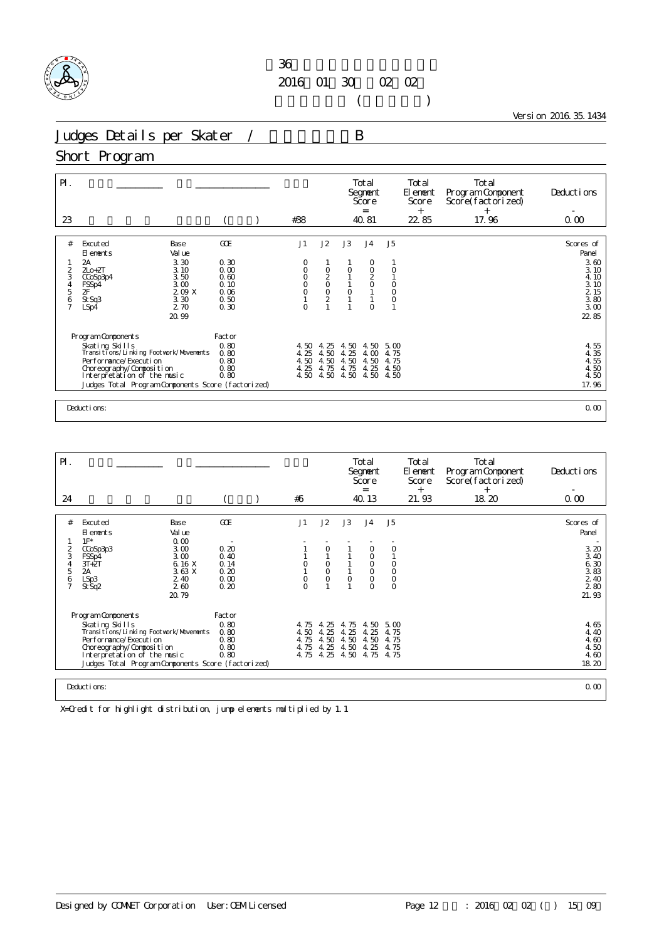

 $($ 

Version 2016.35.1434

Judges Details per Skater / B

#### Short Program

| $\mathsf{P}$ .<br>23 |                                                    |                      | #38            |                       |                     | Total<br>Segnent<br>Score<br>$=$<br>40.81 |                               | Total<br>El ement<br>Score<br>$+$<br>22 85 | Total<br>Program Component<br>Score(factorized)<br>$+$<br>17.96 | Deductions<br>0.00       |
|----------------------|----------------------------------------------------|----------------------|----------------|-----------------------|---------------------|-------------------------------------------|-------------------------------|--------------------------------------------|-----------------------------------------------------------------|--------------------------|
|                      |                                                    |                      |                |                       |                     |                                           |                               |                                            |                                                                 |                          |
| #                    | Excuted<br>Base<br>Val ue<br>El ements             | GOE                  | J1             | J2                    | J3                  | J <sub>4</sub>                            | J <sub>5</sub>                |                                            |                                                                 | Scores of<br>Panel       |
| 2<br>3               | 3.30<br>2A<br>$2Lo+2T$<br>3.10<br>3.50<br>CCoSp3p4 | 0.30<br>0.00<br>0.60 | O<br>0<br>0    |                       | $\circ$             | 0<br>$\mathsf O$                          |                               |                                            |                                                                 | 3.60<br>3.10<br>4.10     |
| $\frac{4}{5}$        | 3.00<br>FSSp4<br>2F<br>209X<br>3.30<br>St Sq3      | 0.10<br>0.06<br>0.50 | $\bar{0}$      | 0<br>0<br>0<br>0<br>2 | $\mathsf{O}\xspace$ | $\frac{2}{0}$                             | $_{\rm O}^{\rm O}$<br>$\circ$ |                                            |                                                                 | $\frac{3}{2}$ 10<br>3.80 |
| $\frac{6}{7}$        | 2.70<br>LSp4<br>20.99                              | 0.30                 | $\overline{O}$ |                       |                     | $\circ$                                   |                               |                                            |                                                                 | 3.00<br>22 85            |
|                      |                                                    |                      |                |                       |                     |                                           |                               |                                            |                                                                 |                          |
|                      | Program Components<br>Skating Skills               | Factor<br>0.80       | 4.50           | 4.25                  | 4.50                | 4.50                                      | 5.00                          |                                            |                                                                 |                          |
|                      | Transi ti ons/Li nki ng Footvork/Movements         | 0.80                 | 4.25           | 4.50                  | 4.25                | 4.00                                      | 4.75                          |                                            |                                                                 | $4.55$<br>$4.35$         |
|                      | Performance/Execution<br>Choreography/Composition  | 0.80<br>0.80         | 4.50<br>4.25   | 4.50<br>4.75          | 4.50<br>4.75        | 4.50<br>4.25                              | 4.75<br>4.50                  |                                            |                                                                 | 4.55<br>4.50             |
|                      | Interpretation of the music                        | 0.80                 | 4.50           | 4.50                  | 4.50                | 4.50                                      | 4.50                          |                                            |                                                                 | 4.50                     |
|                      | Judges Total Program Components Score (factorized) |                      |                |                       |                     |                                           |                               |                                            |                                                                 | 17.96                    |
|                      |                                                    |                      |                |                       |                     |                                           |                               |                                            |                                                                 |                          |
|                      | Deductions:                                        |                      |                |                       |                     |                                           |                               |                                            |                                                                 | 0.00                     |

| $\mathsf{P}$ .                          |                                                                                                                                                                                                                              |                                                                 |                                                |                              |                                           |                                      | Total<br>Segnent<br>Score<br>$=$                                |                                                   | Total<br>El enent<br>Score<br>$^{+}$ | Total<br>Program Component<br>Score(factorized)<br>$^{+}$ | Deductions                                            |
|-----------------------------------------|------------------------------------------------------------------------------------------------------------------------------------------------------------------------------------------------------------------------------|-----------------------------------------------------------------|------------------------------------------------|------------------------------|-------------------------------------------|--------------------------------------|-----------------------------------------------------------------|---------------------------------------------------|--------------------------------------|-----------------------------------------------------------|-------------------------------------------------------|
| 24                                      |                                                                                                                                                                                                                              |                                                                 |                                                | #6                           |                                           |                                      | 40.13                                                           |                                                   | 21.93                                | 18.20                                                     | 0.00                                                  |
| #                                       | Excuted<br>El ements                                                                                                                                                                                                         | Base<br>Val ue                                                  | GOE                                            | J1                           | J2                                        | J3                                   | J <sub>4</sub>                                                  | J5                                                |                                      |                                                           | Scores of<br>Panel                                    |
| 2<br>3<br>4<br>5<br>6<br>$\overline{7}$ | $1F^*$<br>CCoSp3p3<br>FSSp4<br>$3T+2T$<br>2A<br>LSp3<br>St Sq2                                                                                                                                                               | 0.00<br>3.00<br>3.00<br>6.16 X<br>3.63X<br>2.40<br>260<br>20.79 | 0.20<br>0.40<br>0.14<br>0.20<br>0.00<br>0.20   | 0<br>0<br>$\Omega$           | $\circ$<br>$\circ$<br>$\circ$<br>$\circ$  | $\circ$                              | 0<br>0<br>$\circ$<br>$\circ$<br>$\mathsf{O}\xspace$<br>$\Omega$ | $\circ$<br>O<br>$\mathsf O$<br>$\circ$<br>$\circ$ |                                      |                                                           | 3.20<br>3.40<br>6.30<br>3.83<br>2 4 0<br>280<br>21.93 |
|                                         | Program Components<br>Skating Skills<br>Transi ti ons/Li nki ng Footvork/Movements<br>Performance/Execution<br>Choreography/Composition<br>Interpretation of the music<br>Judges Total Program Components Score (factorized) |                                                                 | Factor<br>0.80<br>0.80<br>0.80<br>0.80<br>0.80 | 4.75<br>4.50<br>4.75<br>4.75 | 4.25<br>4.25<br>4.50<br>4.25<br>4.75 4.25 | 4.75<br>4.25<br>4.50<br>4.50<br>4.50 | 4.50<br>4.25<br>4.50<br>4.25<br>4.75                            | $5 \omega$<br>4.75<br>4.75<br>4.75<br>4.75        |                                      |                                                           | 4.65<br>4.40<br>4.60<br>4.50<br>4.60<br>18.20         |
|                                         | Deductions:                                                                                                                                                                                                                  |                                                                 |                                                |                              |                                           |                                      |                                                                 |                                                   |                                      |                                                           | 0.00                                                  |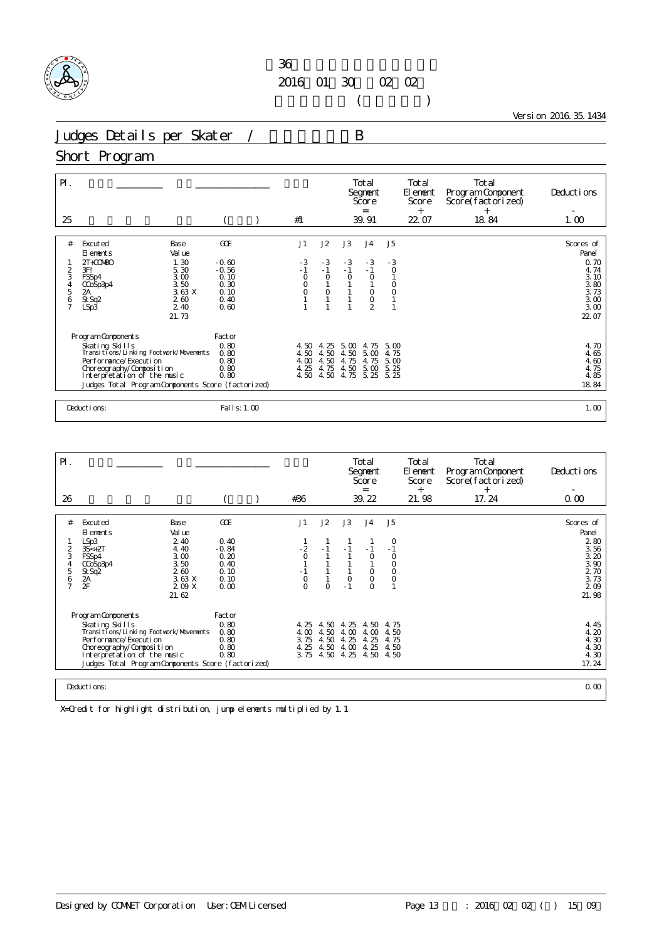

 $($ 

Version 2016.35.1434

Judges Details per Skater / B

#### Short Program

| $\mathsf{P}$ .<br>25                     |                                                                                                                            |                                                                                                  |                                                            | #1                                      |                                      |                                      | Total<br>Segnent<br>Score<br>$=$<br>39.91                       |                                       | Total<br>El ement<br>Score<br>$^{+}$<br>22.07 | Total<br>Program Component<br>Score(factorized)<br>$^{+}$<br>18.84 | Deductions<br>1.00                                                         |
|------------------------------------------|----------------------------------------------------------------------------------------------------------------------------|--------------------------------------------------------------------------------------------------|------------------------------------------------------------|-----------------------------------------|--------------------------------------|--------------------------------------|-----------------------------------------------------------------|---------------------------------------|-----------------------------------------------|--------------------------------------------------------------------|----------------------------------------------------------------------------|
| #                                        | Excuted<br>El ements                                                                                                       | Base<br>Val ue                                                                                   | GOE                                                        | J1                                      | J2                                   | J3                                   | J <sub>4</sub>                                                  | J <sub>5</sub>                        |                                               |                                                                    | Scores of<br>Panel                                                         |
| 2<br>3<br>$\frac{4}{5}$<br>$\frac{6}{7}$ | $2T + COV(BO)$<br>3F!<br>FSSp4<br>CCoSp3p4<br>2A<br>St Sq2<br>LSp3                                                         | 1.30<br>5.30<br>3.00<br>3.50<br>3.63X<br>260<br>2.40<br>21.73                                    | $-0.60$<br>$-0.56$<br>0.10<br>0.30<br>0.10<br>0.40<br>0.60 | $-3$<br>$-1$<br>$\circ$<br>0<br>$\circ$ | $-3$<br>$-1$<br>$\circ$<br>$\circ$   | $-3$<br>$-1$<br>$\Omega$             | $-3$<br>$-1$<br>$\circ$<br>$\circ$<br>$\circ$<br>$\mathfrak{D}$ | $-3$<br>$\circ$<br>$\circ$<br>$\circ$ |                                               |                                                                    | 0.70<br>4.74<br>3.10<br>3.80<br>$\overline{3}$ 73<br>3.00<br>3.00<br>22.07 |
|                                          | Program Components<br>Skating Skills<br>Per for mance/Execution<br>Choreography/Composition<br>Interpretation of the music | Transi ti ons/Li nki ng Footvork/Movements<br>Judges Total Program Components Score (factorized) | Factor<br>0.80<br>0.80<br>0.80<br>0.80<br>0.80             | 4.50<br>4.50<br>4.00<br>4.25<br>4.50    | 4.25<br>4.50<br>4.50<br>4.75<br>4.50 | 5.00<br>4.50<br>4.75<br>4.50<br>4.75 | 4.75<br>5.00<br>4.75<br>5.00<br>5.25                            | 5.00<br>4.75<br>5.00<br>5.25<br>5.25  |                                               |                                                                    | 4.70<br>4.65<br>4.60<br>4.75<br>4.85<br>18.84                              |
|                                          | Deductions:                                                                                                                |                                                                                                  | Fal I s: 1.00                                              |                                         |                                      |                                      |                                                                 |                                       |                                               |                                                                    | 1.00                                                                       |

| $\mathsf{P}$ . |                                                              |                 |              |              |              | Total<br>Segnent<br>Score<br>= |                    | Total<br>El enent<br>Score<br>$^{+}$ | Total<br>Program Component<br>Score(factorized)<br>$^{+}$ | Deductions         |
|----------------|--------------------------------------------------------------|-----------------|--------------|--------------|--------------|--------------------------------|--------------------|--------------------------------------|-----------------------------------------------------------|--------------------|
| 26             |                                                              |                 | #36          |              |              | 39.22                          |                    | 21.98                                | 17.24                                                     | 0.00               |
| #              |                                                              | GOE             | J1           | J2           | J3           | J <sub>4</sub>                 | J5                 |                                      |                                                           |                    |
|                | Base<br>Excuted<br>Val ue<br>El ements                       |                 |              |              |              |                                |                    |                                      |                                                           | Scores of<br>Panel |
| 2              | 2.40<br>LSp3<br>4.40<br>$3S<+2T$                             | 0.40<br>$-0.84$ | $-2$         | $-1$         |              | - 1                            | $-1$               |                                      |                                                           | 280<br>3.56        |
| 3<br>4         | 3.00<br>FSSp4<br>3.50<br>CCoSp3p4                            | 0.20<br>0.40    | $\Omega$     |              |              | $\circ$                        | $\circ$<br>0       |                                      |                                                           | 3.20<br>3.90       |
| 5<br>6         | 260<br>St Sq2<br>$2A$<br>3.63 X                              | 0.10<br>0.10    | $\mathsf O$  |              | $\circ$      | $\circ$<br>$\circ$             | $\circ$<br>$\circ$ |                                      |                                                           | 2 70<br>3.73       |
| $\overline{7}$ | 2F<br>2.09 X                                                 | 0.00            | $\Omega$     | $\Omega$     | $-1$         | $\Omega$                       |                    |                                      |                                                           | 209                |
|                | 21.62                                                        |                 |              |              |              |                                |                    |                                      |                                                           | 21.98              |
|                | Program Components                                           | Factor          |              |              |              |                                |                    |                                      |                                                           |                    |
|                | Skating Skills<br>Transi ti ons/Li nki ng Footvork/Movements | 0.80<br>0.80    | 4.25<br>4.00 | 4.50<br>4.50 | 4.25<br>4.00 | 4.50<br>4.00                   | 4.75<br>4.50       |                                      |                                                           | 4.45<br>4.20       |
|                | Per for mance/Execution                                      | 0.80            | 3.75         | 4.50         | 4.25         | 4.25                           | 4.75               |                                      |                                                           | 4.30               |
|                | Choreography/Composition<br>Interpretation of the music      | 0.80<br>0.80    | 4.25<br>3.75 | 4.50<br>4.50 | 4.00<br>4.25 | 4.25<br>4.50                   | 4.50<br>4.50       |                                      |                                                           | 4.30<br>4.30       |
|                | Judges Total Program Components Score (factorized)           |                 |              |              |              |                                |                    |                                      |                                                           | 17.24              |
|                | Deductions:                                                  |                 |              |              |              |                                |                    |                                      |                                                           |                    |
|                |                                                              |                 |              |              |              |                                |                    |                                      |                                                           | 0.00               |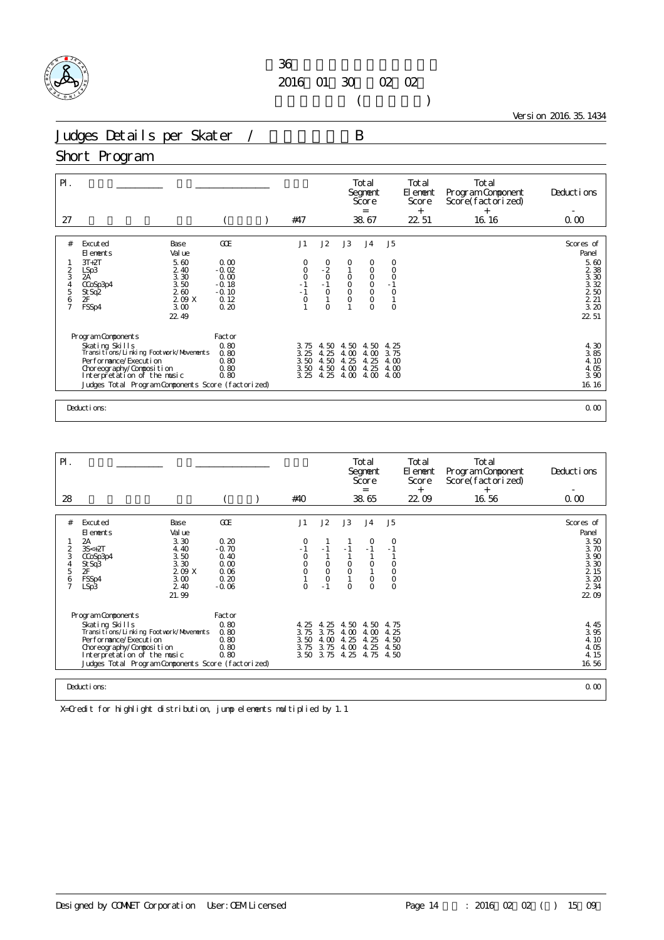

 $($ 

Version 2016.35.1434

Judges Details per Skater / B

#### Short Program

| $P$ .<br>27                                |                                                          |                            | #47                      |                                             |                           | Total<br>Segnent<br>Score<br>$=$<br>38.67 |                            | Total<br>El ement<br>Score<br>$^{+}$<br>22 51 | Total<br>Program Component<br>Score(factorized)<br>$+$<br>16.16 | Deductions<br>0.00            |
|--------------------------------------------|----------------------------------------------------------|----------------------------|--------------------------|---------------------------------------------|---------------------------|-------------------------------------------|----------------------------|-----------------------------------------------|-----------------------------------------------------------------|-------------------------------|
|                                            |                                                          |                            |                          |                                             |                           |                                           |                            |                                               |                                                                 |                               |
| #                                          | Excuted<br>Base<br>Val ue<br>El ements                   | <b>GCE</b>                 | J1                       | J2                                          | J3                        | J <sub>4</sub>                            | J <sub>5</sub>             |                                               |                                                                 | Scores of<br>Panel            |
| 2                                          | $3T+2T$<br>5.60<br>2.40<br>LSp3                          | 0.00<br>$-0.02$            | 0<br>$\circ$             | $\begin{smallmatrix}0\\-2\end{smallmatrix}$ | 0                         | 0<br>$\circ$                              | 0<br>$\circ$               |                                               |                                                                 | 5.60<br>2 3 8                 |
| 3<br>$\begin{array}{c} 4 \\ 5 \end{array}$ | 3.30<br>2A<br>3.50<br>CCoSp3p4<br>260                    | 0.00<br>$-0.18$<br>$-0.10$ | $\circ$<br>$\frac{1}{1}$ | $\circ$<br>$-1$<br>$\circ$                  | $\circ$<br>$\overline{0}$ | $\circ$<br>$\overline{0}$                 | $\circ$<br>$-1$<br>$\circ$ |                                               |                                                                 | 3.30<br>$3.32$<br>$2.50$      |
| 6<br>$\overline{7}$                        | St Sq2<br>2F<br>2.09 X<br>FSSp4<br>3.00                  | 0.12<br>0.20               | $\circ$                  | $\circ$                                     | $\circ$                   | $\circ$<br>$\circ$                        | $\circ$                    |                                               |                                                                 | $\frac{2}{3}$ $\frac{21}{20}$ |
|                                            | 22.49                                                    |                            |                          |                                             |                           |                                           |                            |                                               |                                                                 | 22 51                         |
|                                            | Program Components                                       | Factor                     |                          |                                             |                           |                                           |                            |                                               |                                                                 |                               |
|                                            | Skating Skills<br>Transitions/Linking Footvork/Movements | 0.80<br>0.80               | 3.75<br>3.25             | 4.50<br>4.25                                | 4.50<br>4.00              | 4.50<br>4.00                              | 4.25<br>3.75               |                                               |                                                                 | 4.30<br>3.85                  |
|                                            | Performance/Execution                                    | 0.80                       | 3.50                     | 4.50                                        | 25<br>4.                  | 25<br>4.                                  | 4.00                       |                                               |                                                                 | 4.10                          |
|                                            | Choreography/Composition                                 | 0.80                       | 3.50                     | 4.50                                        | 4.00                      | 4.25                                      | 4.00                       |                                               |                                                                 | 4.05                          |
|                                            | Interpretation of the music                              | 0.80                       | 3.25                     | 4.25                                        | 4.00                      | 4.00                                      | 4.00                       |                                               |                                                                 | 3.90                          |
|                                            | Judges Total Program Components Score (factorized)       |                            |                          |                                             |                           |                                           |                            |                                               |                                                                 | 16.16                         |
|                                            |                                                          |                            |                          |                                             |                           |                                           |                            |                                               |                                                                 |                               |
|                                            | Deductions:                                              |                            |                          |                                             |                           |                                           |                            |                                               |                                                                 | 0.00                          |

| $\mathsf{P}$ .                                            |                                                                                                                                                                                                                              |                                                                                   |                                                                   |                                                        |                                                     |                                              | Total<br>Segnent<br>Score<br>$=$                                    |                                                       | Total<br>El enent<br>Score<br>$^{+}$ | Total<br>Program Component<br>Score(factorized)<br>$^{+}$ | Deductions                                                                           |
|-----------------------------------------------------------|------------------------------------------------------------------------------------------------------------------------------------------------------------------------------------------------------------------------------|-----------------------------------------------------------------------------------|-------------------------------------------------------------------|--------------------------------------------------------|-----------------------------------------------------|----------------------------------------------|---------------------------------------------------------------------|-------------------------------------------------------|--------------------------------------|-----------------------------------------------------------|--------------------------------------------------------------------------------------|
| 28                                                        |                                                                                                                                                                                                                              |                                                                                   |                                                                   | #40                                                    |                                                     |                                              | 38.65                                                               |                                                       | 22.09                                | 16.56                                                     | 0.00                                                                                 |
| #<br>$\overline{2}$<br>3<br>4<br>5<br>6<br>$\overline{7}$ | Excuted<br>El ements<br>2A<br>$3S<+2T$<br>CCoSp3p4<br>St Sq3<br>2F<br>FSSp4<br>LSp3                                                                                                                                          | Base<br>Val ue<br>3.30<br>4.40<br>3.50<br>3.30<br>2.09 X<br>3.00<br>2.40<br>21.99 | GOE<br>0.20<br>$-0.70$<br>0.40<br>0.00<br>0.06<br>0.20<br>$-0.06$ | J1<br>0<br>$-1$<br>$\circ$<br>$\circ$<br>O<br>$\Omega$ | J2<br>$-1$<br>$\circ$<br>$\circ$<br>$\circ$<br>$-1$ | J3<br>$-1$<br>$\circ$<br>$\circ$<br>$\Omega$ | J <sub>4</sub><br>$\circ$<br>$-1$<br>$\circ$<br>$\circ$<br>$\Omega$ | J5<br>0<br>$-1$<br>O<br>$\circ$<br>$\circ$<br>$\circ$ |                                      |                                                           | Scores of<br>Panel<br>3.50<br>3.70<br>3.90<br>3.30<br>2 15<br>3.20<br>2 3 4<br>22.09 |
|                                                           | Program Components<br>Skating Skills<br>Transi ti ons/Li nki ng Footvork/Movements<br>Performance/Execution<br>Choreography/Composition<br>Interpretation of the music<br>Judges Total Program Components Score (factorized) |                                                                                   | Factor<br>0.80<br>0.80<br>0.80<br>0.80<br>0.80                    | 4.25<br>3.75<br>3.50<br>3.75                           | 4.25<br>3.75<br>4.00<br>3.75<br>3.50 3.75           | 4.50<br>4.00<br>4.25<br>4.00<br>4.25         | 4.50<br>4.00<br>4.25<br>4.25<br>4.75                                | 4.75<br>4.25<br>4.50<br>4.50<br>4.50                  |                                      |                                                           | 4.45<br>3.95<br>4.10<br>4.05<br>4.15<br>16.56                                        |
|                                                           | Deductions:                                                                                                                                                                                                                  |                                                                                   |                                                                   |                                                        |                                                     |                                              |                                                                     |                                                       |                                      |                                                           | 0.00                                                                                 |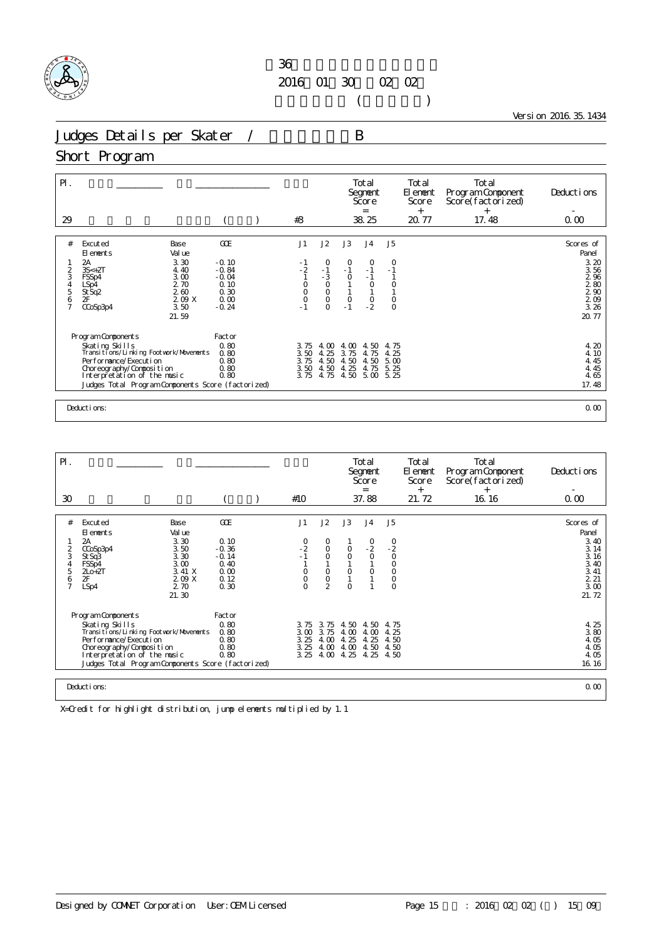

 $($ 

Version 2016.35.1434

Judges Details per Skater / B

## Short Program

| $\mathsf{P}$ .<br>29                                           |                                                                                                                                                                                                                            |                                                                                | #3                                                                          |                                                                                           |                                                     | Total<br>Segnent<br>Score<br>$=$<br>38.25                             |                                                            | Total<br>El ement<br>Score<br>$^{+}$<br>20.77 | Total<br>Program Component<br>Score(factorized)<br>$^{+}$<br>17.48 | Deductions<br>0.00                                                              |
|----------------------------------------------------------------|----------------------------------------------------------------------------------------------------------------------------------------------------------------------------------------------------------------------------|--------------------------------------------------------------------------------|-----------------------------------------------------------------------------|-------------------------------------------------------------------------------------------|-----------------------------------------------------|-----------------------------------------------------------------------|------------------------------------------------------------|-----------------------------------------------|--------------------------------------------------------------------|---------------------------------------------------------------------------------|
| #<br>2<br>3<br>$\begin{array}{c} 4 \\ 5 \end{array}$<br>6<br>7 | Excuted<br>Base<br>Val ue<br>El ements<br>3.30<br>2A<br>$3S<+2T$<br>4.40<br>3.00<br>FSSp4<br>2.70<br>LSp4<br>St Sq2<br>260<br>209 X<br>2F<br>3.50<br>CCoSp3p4<br>21.59                                                     | <b>GCE</b><br>$-0.10$<br>$-0.84$<br>$-0.04$<br>0.10<br>0.30<br>0.00<br>$-0.24$ | J1<br>- 1<br>$-2$<br>1<br>$\begin{matrix} 0 \\ 0 \\ 0 \end{matrix}$<br>$-1$ | J2<br>$\circ$<br>$-1$<br>$\begin{matrix} 3 \\ 0 \\ 0 \end{matrix}$<br>$\circ$<br>$\Omega$ | J3<br>$\circ$<br>$-1$<br>$\circ$<br>$\circ$<br>$-1$ | J <sub>4</sub><br>$\circ$<br>$-1$<br>$-1$<br>$\circ$<br>$\frac{0}{2}$ | J <sub>5</sub><br>$\circ$<br>$\circ$<br>$\circ$<br>$\circ$ |                                               |                                                                    | Scores of<br>Panel<br>3.20<br>3.56<br>2 %<br>$\frac{280}{290}$<br>3.26<br>20.77 |
|                                                                | Program Components<br>Skating Skills<br>Transitions/Linking Footwork/Movements<br>Per for mance/Execution<br>Choreography/Composition<br>Interpretation of the music<br>Judges Total Program Components Score (factorized) | Factor<br>0.80<br>0.80<br>0.80<br>0.80<br>0.80                                 | 3.75<br>3.50<br>3.75<br>3.50<br>3.75                                        | $\infty$<br>4.<br>4.25<br>4.50<br>4.50<br>4.75                                            | 4.00<br>3.75<br>4.50<br>4.25<br>4.50                | 4.50<br>4.75<br>4.50<br>4.75<br>5.00                                  | 4.75<br>4.25<br>5.00<br>5.25<br>5.25                       |                                               |                                                                    | 4.20<br>4.10<br>4.45<br>4.45<br>4.65<br>17.48                                   |
|                                                                | Deductions:                                                                                                                                                                                                                |                                                                                |                                                                             |                                                                                           |                                                     |                                                                       |                                                            |                                               |                                                                    | 0.00                                                                            |

| $\mathsf{P}$ . |                                                                                   |                 |                 |  |                   |                     |                | Total<br>Segnent<br>Score<br>$=$ |                | Total<br>El ement<br>Score<br>$^{+}$ | Total<br>Program Component<br>Score(factorized)<br>$^{+}$ | Deductions         |
|----------------|-----------------------------------------------------------------------------------|-----------------|-----------------|--|-------------------|---------------------|----------------|----------------------------------|----------------|--------------------------------------|-----------------------------------------------------------|--------------------|
| 30             |                                                                                   |                 |                 |  | #10               |                     |                | 37.88                            |                | 21.72                                | 16.16                                                     | 0.00               |
|                |                                                                                   |                 |                 |  |                   |                     |                |                                  |                |                                      |                                                           |                    |
| #              | Excuted<br>El ements                                                              | Base<br>Val ue  | GOE             |  | J1                | J2                  | J3             | J <sub>4</sub>                   | J5             |                                      |                                                           | Scores of<br>Panel |
| 2              | 2A<br>CCoSp3p4                                                                    | 3.30<br>3.50    | 0.10<br>$-0.36$ |  | $^{0}_{-2}$       | 0<br>O              | 0              | $^{0}_{-2}$                      | $-2$<br>0      |                                      |                                                           | 3.40<br>3.14       |
| 3              | St Sq3<br>FSSp4                                                                   | 3.30<br>3.00    | $-0.14$<br>0.40 |  | $-1$              | $\circ$             | $\overline{O}$ | $\overline{O}$                   | $\circ$        |                                      |                                                           | 3.16<br>3.40       |
| 5<br>6         | $2Lo+2T$<br>2F                                                                    | 3.41 X<br>209 X | 0.00<br>0.12    |  | 0<br>$\mathsf O$  | $\mathsf{O}\xspace$ | $\circ$        | $\circ$                          | $\circ$        |                                      |                                                           | 3.41<br>221        |
| $\overline{7}$ | LSp4                                                                              | 2.70            | 0.30            |  | $\overline{O}$    | $\frac{0}{2}$       | $\Omega$       |                                  | $\overline{0}$ |                                      |                                                           | 3.00               |
|                |                                                                                   | 21.30           |                 |  |                   |                     |                |                                  |                |                                      |                                                           | 21.72              |
|                | Program Components                                                                |                 | Factor          |  |                   |                     |                |                                  |                |                                      |                                                           |                    |
|                | Skating Skills                                                                    |                 | 0.80            |  | 3.75              | 3.75                | 4.50           | 4.50                             | 4.75           |                                      |                                                           | 4.25               |
|                | Transi ti ons/Li nki ng Footvork/Movements<br>Per for mance/Execution             |                 | 0.80<br>0.80    |  | $3\omega$<br>3.25 | 3.75<br>4.00        | 4.00<br>4.25   | 4.00<br>4.25                     | 4.25<br>4.50   |                                      |                                                           | 3.80<br>4.05       |
|                | Choreography/Composition                                                          |                 | 0.80            |  | 3.25              | 4.00                | 4.00           | 4.50                             | 4.50           |                                      |                                                           | 4.05               |
|                | Interpretation of the music<br>Judges Total Program Components Score (factorized) |                 | 0.80            |  | 3.25              | 4.00                | 4.25           | 4.25                             | 4.50           |                                      |                                                           | 4.05<br>16.16      |
|                |                                                                                   |                 |                 |  |                   |                     |                |                                  |                |                                      |                                                           |                    |
|                | Deductions:<br>0.00                                                               |                 |                 |  |                   |                     |                |                                  |                |                                      |                                                           |                    |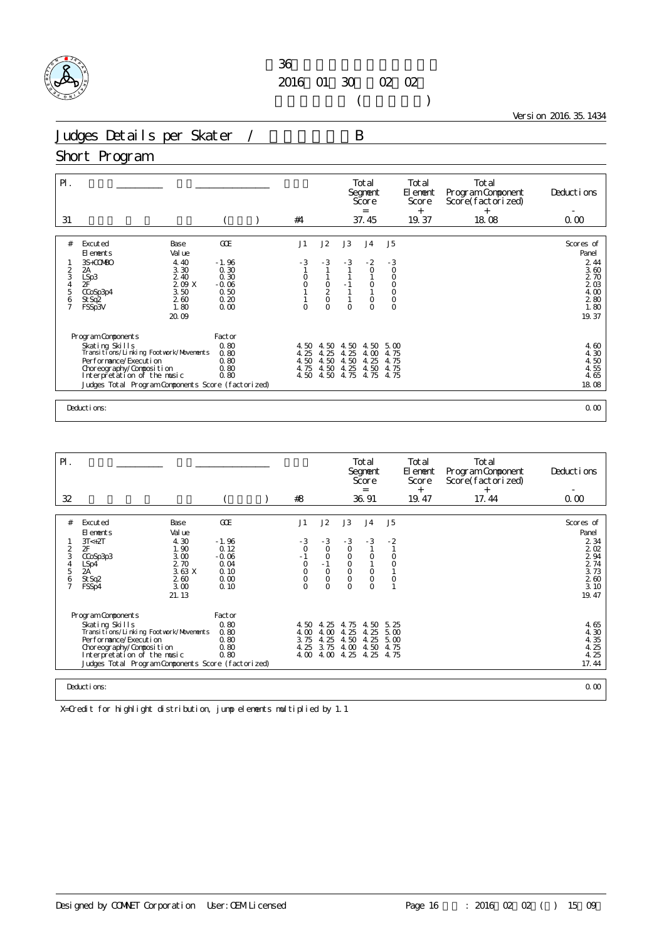

 $($ 

Version 2016.35.1434

Judges Details per Skater / B

#### Short Program

| $\mathsf{P}$ .<br>31                                       |                                                                                                                                                                                                                          |                                                                                |                                                                   | #4                           |                                                          |                                                 | Total<br>Segnent<br>Score<br>$=$<br>37.45                                                                    |                                                                                                | Total<br>El ement<br>Score<br>$^{+}$<br>19.37 | Total<br>Program Component<br>Score(factorized)<br>$^{+}$<br>18.08 | Deductions<br>0.00                                                                 |
|------------------------------------------------------------|--------------------------------------------------------------------------------------------------------------------------------------------------------------------------------------------------------------------------|--------------------------------------------------------------------------------|-------------------------------------------------------------------|------------------------------|----------------------------------------------------------|-------------------------------------------------|--------------------------------------------------------------------------------------------------------------|------------------------------------------------------------------------------------------------|-----------------------------------------------|--------------------------------------------------------------------|------------------------------------------------------------------------------------|
| #<br>$\frac{2}{3}$<br>$\frac{4}{5}$<br>6<br>$\overline{7}$ | Excuted<br>El ements<br>3S+COMBO<br>2A<br>LSp3<br>2F'<br>CCoSp3p4<br>St Sq2<br>FSSp3V                                                                                                                                    | Base<br>Val ue<br>4.40<br>3.30<br>2.40<br>209X<br>3.50<br>260<br>1.80<br>20.09 | GOE<br>$-1.96$<br>0.30<br>0.30<br>$-0.06$<br>0.50<br>0.20<br>0.00 | J1<br>$-3$<br>0<br>0<br>O    | J2<br>$-3$<br>$\frac{0}{2}$<br>$\circ$<br>$\overline{O}$ | J3<br>$-3$<br>$-1$<br>$\overline{1}$<br>$\circ$ | J <sub>4</sub><br>$-2$<br>$\circ$<br>$\begin{smallmatrix}0\\1\end{smallmatrix}$<br>$\circ$<br>$\overline{O}$ | J <sub>5</sub><br>$-3$<br>$\circ$<br>0<br>$_{\rm 0}^{\rm 0}$<br>$\mathsf{O}\xspace$<br>$\circ$ |                                               |                                                                    | Scores of<br>Panel<br>2 4 4<br>3.60<br>2 70<br>203<br>4.00<br>280<br>1.80<br>19.37 |
|                                                            | Program Components<br>Skating Skills<br>Transitions/Linking Footwork/Movements<br>Performance/Execution<br>Choreography/Composition<br>Interpretation of the music<br>Judges Total Program Components Score (factorized) |                                                                                | Factor<br>0.80<br>0.80<br>0.80<br>0.80<br>0.80                    | 4.50<br>4.25<br>4.50<br>4.75 | 4.50<br>4.25<br>4.50<br>4.50                             | 4.50<br>4.25<br>4.50<br>4.25<br>4.50 4.50 4.75  | 4.50<br>4.00<br>4.25<br>4.50<br>4.75                                                                         | 5.00<br>4.75<br>4.75<br>4.75<br>4.75                                                           |                                               |                                                                    | 4.60<br>4.30<br>4.50<br>4.55<br>4.65<br>18.08                                      |
|                                                            | Deductions:                                                                                                                                                                                                              |                                                                                |                                                                   |                              |                                                          |                                                 |                                                                                                              |                                                                                                |                                               |                                                                    | 0.00                                                                               |

| PI. |                                                         |              |                 |  |                     |                     |                         | Total<br>Segnent<br>Score<br>$=$ |                | Total<br>El ement<br>Score<br>$^{+}$ | Total<br>Program Component<br>Score(factorized)<br>$^{+}$ | Deductions   |
|-----|---------------------------------------------------------|--------------|-----------------|--|---------------------|---------------------|-------------------------|----------------------------------|----------------|--------------------------------------|-----------------------------------------------------------|--------------|
| 32  |                                                         |              |                 |  | #8                  |                     |                         | 36.91                            |                | 19.47                                | 17.44                                                     | 0.00         |
|     |                                                         |              |                 |  |                     |                     |                         |                                  |                |                                      |                                                           |              |
| #   | Excuted                                                 | Base         | GOE             |  | J1                  | J2                  | J3                      | J <sub>4</sub>                   | J5             |                                      |                                                           | Scores of    |
|     | El ements                                               | Val ue       |                 |  |                     |                     |                         |                                  |                |                                      |                                                           | Panel        |
| 2   | $3T < +2T$<br>2F                                        | 4.30<br>1.90 | $-1.96$<br>0.12 |  | $-3$<br>$\circ$     | $-3$<br>$\circ$     | $-3$<br>$\circ$         | $-3$                             | $-2$           |                                      |                                                           | 2 3 4<br>202 |
| 3   | CCoSp3p3                                                | 3.00         | $-0.06$         |  | $-1$                | $\circ$             | $\circ$                 | $\circ$                          | $\Omega$       |                                      |                                                           | 2 94         |
| 4   | LSp4                                                    | 2.70         | 0.04            |  | $\circ$             | $-1$                | $\mathsf O$             |                                  | $\overline{O}$ |                                      |                                                           | 2 74         |
| 5   | 2A                                                      | 3.63 X       | 0.10            |  | $\circ$             | $\circ$             | $\circ$                 | $\circ$                          |                |                                      |                                                           | 3.73         |
| 6   | St Sq2<br>FSSp4                                         | 260<br>3.00  | 0.00<br>0.10    |  | $\circ$<br>$\Omega$ | $\circ$<br>$\Omega$ | $\mathsf O$<br>$\Omega$ | $\circ$<br>$\Omega$              | O              |                                      |                                                           | 260<br>3.10  |
|     |                                                         | 21.13        |                 |  |                     |                     |                         |                                  |                |                                      |                                                           | 19.47        |
|     |                                                         |              |                 |  |                     |                     |                         |                                  |                |                                      |                                                           |              |
|     | Program Components                                      |              | Factor          |  |                     |                     |                         |                                  |                |                                      |                                                           |              |
|     | Skating Skills                                          |              | 0.80            |  | 4.50 4.25           |                     | 4.75                    | 4.50                             | 5.25           |                                      |                                                           | 4.65         |
|     | Transi ti ons/Li nki ng Footvork/Movements              |              | 0.80            |  | 4.00                | 4.00                | 4.25                    | 4.25                             | 5.00           |                                      |                                                           | 4.30         |
|     | Performance/Execution                                   |              | 0.80            |  | 3.75                | 4.25                | 4.50                    | 4.25                             | 5.00           |                                      |                                                           | 4.35         |
|     | Choreography/Composition<br>Interpretation of the music |              | 0.80<br>0.80    |  | 4.25<br>4.00        | 3.75<br>4.00        | 4.00<br>4.25            | 4.50<br>4.25                     | 4.75<br>4.75   |                                      |                                                           | 4.25<br>4.25 |
|     | Judges Total Program Components Score (factorized)      |              |                 |  |                     |                     |                         |                                  |                |                                      |                                                           | 17.44        |
|     |                                                         |              |                 |  |                     |                     |                         |                                  |                |                                      |                                                           |              |
|     | 0.00<br>Deductions:                                     |              |                 |  |                     |                     |                         |                                  |                |                                      |                                                           |              |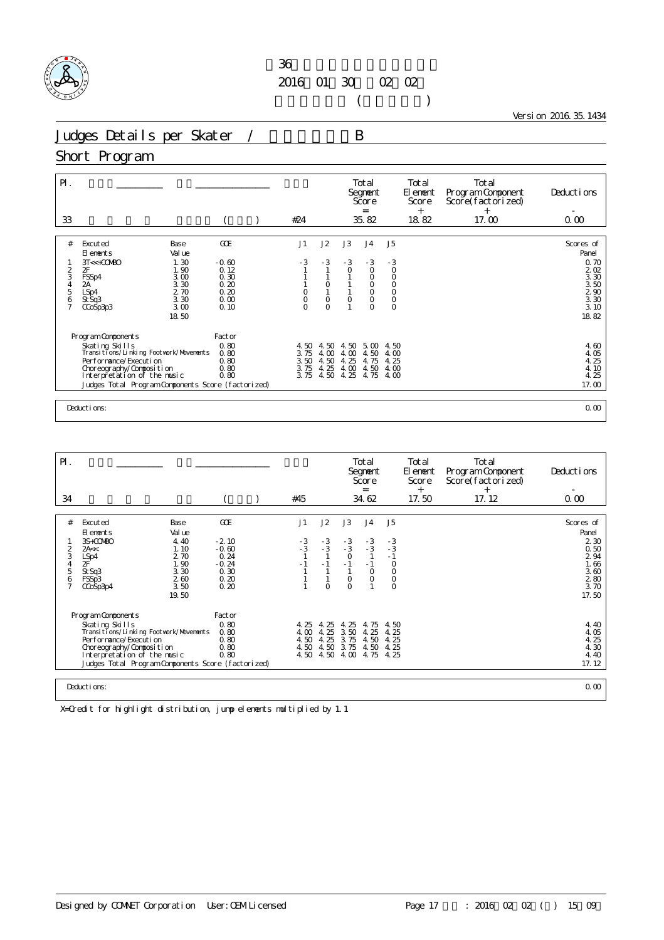

 $($ 

Version 2016.35.1434

Judges Details per Skater / B

### Short Program

| $\mathsf{P}$ .<br>33                         |                                                                                                                                                                                                                            |                                                                                 |                                                                | #24                                  |                                                                                 |                                                           | Total<br>Segnent<br>Score<br>$=$<br>35.82                                                       |                                                                                     | Total<br>El ement<br>Score<br>$^{+}$<br>18.82 | Total<br>Program Component<br>Score(factorized)<br>$^{+}$<br>17.00 | Deductions<br>0.00                                                                                               |
|----------------------------------------------|----------------------------------------------------------------------------------------------------------------------------------------------------------------------------------------------------------------------------|---------------------------------------------------------------------------------|----------------------------------------------------------------|--------------------------------------|---------------------------------------------------------------------------------|-----------------------------------------------------------|-------------------------------------------------------------------------------------------------|-------------------------------------------------------------------------------------|-----------------------------------------------|--------------------------------------------------------------------|------------------------------------------------------------------------------------------------------------------|
| #<br>2<br>3<br>4<br>5<br>6<br>$\overline{7}$ | Excuted<br>El ements<br>$3T < +CO$ MBO<br><b>OF</b><br>FSSp4<br>2A<br>LSp4<br>St Sq3<br>CCoSp3p3                                                                                                                           | Base<br>Val ue<br>1.30<br>1.90<br>3.00<br>3.30<br>2.70<br>3.30<br>3.00<br>18.50 | GOE<br>$-0.60$<br>0.12<br>0.30<br>0.20<br>0.20<br>0.00<br>0.10 | J1<br>$-3$<br>O<br>O<br>O            | J2<br>$-3$<br>$\begin{smallmatrix}0\\1\end{smallmatrix}$<br>$\circ$<br>$\Omega$ | J3<br>$-3$<br>$\circ$<br>1<br>$\circ$                     | J <sub>4</sub><br>$-3$<br>$\circ$<br>$\circ$<br>$_{\rm O}^{\rm O}$<br>$\circ$<br>$\overline{O}$ | J <sub>5</sub><br>$-3$<br>$\circ$<br>$\mathsf O$<br>$\bar{0}$<br>$\circ$<br>$\circ$ |                                               |                                                                    | Scores of<br>Panel<br>0.70<br>$\frac{2}{3}$ $\frac{02}{30}$<br>$\frac{3}{2}$ 50<br>2 90<br>3 30<br>3.10<br>18.82 |
|                                              | Program Components<br>Skating Skills<br>Transitions/Linking Footwork/Movements<br>Per for mance/Execution<br>Choreography/Composition<br>Interpretation of the music<br>Judges Total Program Components Score (factorized) |                                                                                 | Factor<br>0.80<br>0.80<br>0.80<br>0.80<br>0.80                 | 4.50<br>3.75<br>3.50<br>3.75<br>3.75 | 4.50<br>4.00<br>4.50<br>4.25                                                    | 4.50<br>4.00<br>25<br>$\overline{4}$<br>4.00<br>4.50 4.25 | 5.00<br>4.50<br>4.75<br>4.50<br>4.75                                                            | 4.50<br>4.00<br>4.25<br>4.00<br>4.00                                                |                                               |                                                                    | 4.60<br>4.05<br>4.25<br>4.10<br>4.25<br>17.00                                                                    |
|                                              | Deductions:                                                                                                                                                                                                                |                                                                                 |                                                                |                                      |                                                                                 |                                                           |                                                                                                 |                                                                                     |                                               |                                                                    | 0.00                                                                                                             |

| $\mathsf{P}$ .                                       |                                                                                                                                                                                                                              |                                                                                 |                                                                      |                              |                                  |                                                        | Total<br>Segnent<br>Score<br>$=$                             |                                                                        | Total<br>El enent<br>Score<br>$^{+}$ | Total<br>Program Component<br>Score(factorized)<br>$^{+}$ | Deductions                                                                              |
|------------------------------------------------------|------------------------------------------------------------------------------------------------------------------------------------------------------------------------------------------------------------------------------|---------------------------------------------------------------------------------|----------------------------------------------------------------------|------------------------------|----------------------------------|--------------------------------------------------------|--------------------------------------------------------------|------------------------------------------------------------------------|--------------------------------------|-----------------------------------------------------------|-----------------------------------------------------------------------------------------|
| 34                                                   |                                                                                                                                                                                                                              |                                                                                 |                                                                      | #45                          |                                  |                                                        | 34.62                                                        |                                                                        | 17.50                                | 17.12                                                     | 0.00                                                                                    |
| #<br>3<br>$\overline{4}$<br>5<br>6<br>$\overline{7}$ | Excuted<br>El ements<br>3S+COMBO<br>2A<<<br>LSp4<br>2F<br>St Sq3<br>FSSp3<br>CCoSp3p4                                                                                                                                        | Base<br>Val ue<br>4.40<br>1.10<br>2.70<br>1.90<br>3.30<br>2.60<br>3.50<br>19.50 | GOE<br>$-2.10$<br>$-0.60$<br>0.24<br>$-0.24$<br>0.30<br>0.20<br>0.20 | J1<br>$-3$<br>$-3$<br>$-1$   | J2<br>$-3/3$<br>$-1$<br>$\Omega$ | J3<br>$-3$<br>$-3$<br>$\circ$<br>$-1$<br>O<br>$\Omega$ | J <sub>4</sub><br>$-3$<br>$-3$<br>$-1$<br>$\circ$<br>$\circ$ | J5<br>$-3$<br>$-3$<br>$-1$<br>$\circ$<br>$\circ$<br>$\circ$<br>$\circ$ |                                      |                                                           | Scores of<br>Panel<br>2 3 0<br>0.50<br>2 94<br>1.66<br>3.60<br>$2\ 80$<br>3.70<br>17.50 |
|                                                      | Program Components<br>Skating Skills<br>Transi ti ons/Li nki ng Footvork/Movements<br>Performance/Execution<br>Choreography/Composition<br>Interpretation of the music<br>Judges Total Program Components Score (factorized) |                                                                                 | Factor<br>0.80<br>0.80<br>0.80<br>0.80<br>0.80                       | 4.25<br>4.00<br>4.50<br>4.50 | 4.25<br>4.25<br>4.25<br>4.50     | 4.25<br>3.50<br>3.75<br>3.75<br>4.50 4.50 4.00         | 4.75<br>4.25<br>4.50<br>4.50<br>4.75                         | 4.50<br>4.25<br>4.25<br>4.25<br>4.25                                   |                                      |                                                           | 4.40<br>4.05<br>4.25<br>4.30<br>4.40<br>17.12                                           |
|                                                      | Deductions:                                                                                                                                                                                                                  |                                                                                 |                                                                      |                              |                                  |                                                        |                                                              |                                                                        |                                      |                                                           | 0.00                                                                                    |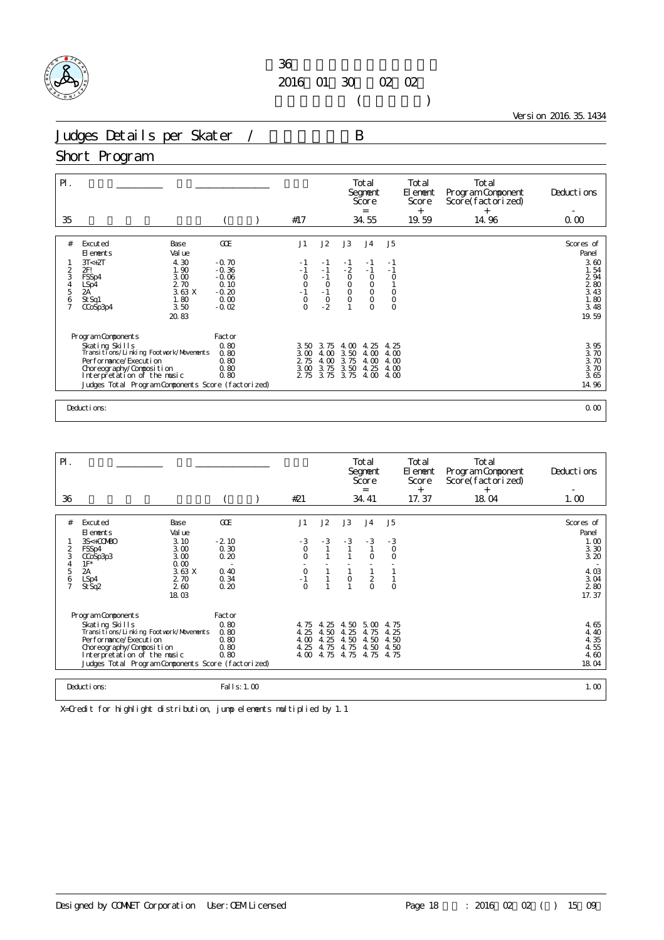

 $($ 

Version 2016.35.1434

Judges Details per Skater / B

#### Short Program

| $\mathsf{P}$ .<br>35                 |                                                                                                                                                                                                    |                                              | #17                                  |                                                               |                                      | Total<br>Segnent<br>Score<br>$=$<br>34.55             |                                           | Total<br>El ement<br>Score<br>$^{+}$<br>19.59 | Total<br>Program Component<br>Score(factorized)<br>$^{+}$<br>14.96 | Deductions<br>0.00                                             |
|--------------------------------------|----------------------------------------------------------------------------------------------------------------------------------------------------------------------------------------------------|----------------------------------------------|--------------------------------------|---------------------------------------------------------------|--------------------------------------|-------------------------------------------------------|-------------------------------------------|-----------------------------------------------|--------------------------------------------------------------------|----------------------------------------------------------------|
|                                      |                                                                                                                                                                                                    |                                              |                                      |                                                               |                                      |                                                       |                                           |                                               |                                                                    |                                                                |
| #<br>2<br>3                          | Excuted<br>Base<br>Val ue<br>El ements<br>4.30<br>$3T < +2T$<br>1.90<br>2FI<br>3.00<br>FSSp4<br>2.70                                                                                               | GOE<br>$-0.70$<br>$-0.36$<br>$-0.06$<br>0.10 | J1<br>$-1$<br>$-1$<br>$\circ$        | J2<br>$-1$<br>$-1$<br>$-1$                                    | J3<br>- 1<br>$-2$<br>$\circ$         | J <sub>4</sub><br>- 1<br>$-1$<br>$\circ$              | J <sub>5</sub><br>$-1$<br>$-1$<br>$\circ$ |                                               |                                                                    | Scores of<br>Panel<br>3.60<br>1.54<br>2 9 4<br>280             |
| $\frac{4}{5}$<br>6<br>$\overline{7}$ | LSp4<br>2A<br>3.63 X<br>1.80<br>St Sq1<br>3.50<br>CCoSp3p4<br>20.83                                                                                                                                | $-0.20$<br>0.00<br>$-0.02$                   | $-0$<br>$-1$<br>0<br>$\Omega$        | $\begin{smallmatrix}0\\1\end{smallmatrix}$<br>$\circ$<br>$-2$ | $\overline{0}$<br>$0$                | $_{\rm O}^{\rm O}$<br>$\circ$<br>$\circ$              | $\circ$<br>$\circ$<br>$\circ$             |                                               |                                                                    | 3.43<br>1.80<br>3.48<br>19.59                                  |
|                                      | Program Components                                                                                                                                                                                 | Factor                                       |                                      |                                                               |                                      |                                                       |                                           |                                               |                                                                    |                                                                |
|                                      | Skating Skills<br>Transitions/Linking Footvork/Movements<br>Performance/Execution<br>Choreography/Composition<br>Interpretation of the music<br>Judges Total Program Components Score (factorized) | 0.80<br>0.80<br>0.80<br>0.80<br>0.80         | 3.50<br>3.00<br>2 75<br>3.00<br>2 75 | 3.75<br>4.00<br>4.00<br>3.75<br>3.75                          | 4.00<br>3.50<br>3.75<br>3.50<br>3.75 | -25<br>$\overline{4}$<br>4.00<br>4.00<br>4.25<br>4.00 | 4.25<br>4.00<br>4.00<br>4.00<br>4.00      |                                               |                                                                    | $\frac{3}{3}$ $\frac{95}{70}$<br>3.70<br>3.70<br>3.65<br>14.96 |
|                                      | Deductions:                                                                                                                                                                                        |                                              |                                      |                                                               |                                      |                                                       |                                           |                                               |                                                                    | 0.00                                                           |

| $\mathsf{P}$ .                                      |                                                                                                                                                                                                                              |                                                                                 |                                                        |                                                                                                      |                                      |                                      | Total<br>Segnent<br>Score<br>$=$                    |                                             | Total<br>El ement<br>Score<br>$^{+}$ | Total<br>Program Component<br>Score(factorized)<br>$^{+}$ | Deductions                                                                      |
|-----------------------------------------------------|------------------------------------------------------------------------------------------------------------------------------------------------------------------------------------------------------------------------------|---------------------------------------------------------------------------------|--------------------------------------------------------|------------------------------------------------------------------------------------------------------|--------------------------------------|--------------------------------------|-----------------------------------------------------|---------------------------------------------|--------------------------------------|-----------------------------------------------------------|---------------------------------------------------------------------------------|
| 36                                                  |                                                                                                                                                                                                                              |                                                                                 |                                                        | #21                                                                                                  |                                      |                                      | 34.41                                               |                                             | 17.37                                | 18.04                                                     | 1.00                                                                            |
| #<br>$\overline{2}$<br>3<br>4<br>5<br>$\frac{6}{7}$ | Excuted<br>El ements<br>3S<+COMBO<br>FSSp4<br>CCoSp3p3<br>$1F^*$<br>2A<br>LSp4<br>St Sq2                                                                                                                                     | Base<br>Val ue<br>3.10<br>3.00<br>3.00<br>0.00<br>3.63X<br>2.70<br>260<br>18.03 | GOE<br>$-2.10$<br>0.30<br>0.20<br>0.40<br>0.34<br>0.20 | J1<br>$-3$<br>$\overline{O}$<br>$\Omega$<br>$\begin{smallmatrix}0\\ -1\end{smallmatrix}$<br>$\Omega$ | J2<br>$-3$                           | J3<br>$-3$<br>$\overline{0}$         | J <sub>4</sub><br>$-3$<br>$\Omega$<br>$\frac{2}{0}$ | J5<br>$\frac{3}{0}$<br>$\Omega$<br>$\Omega$ |                                      |                                                           | Scores of<br>Panel<br>1.00<br>3.30<br>3.20<br>4.03<br>$3.04$<br>$2.80$<br>17.37 |
|                                                     | Program Components<br>Skating Skills<br>Transi ti ons/Li nki ng Footvork/Movements<br>Performance/Execution<br>Choreography/Composition<br>Interpretation of the music<br>Judges Total Program Components Score (factorized) |                                                                                 | Factor<br>0.80<br>0.80<br>0.80<br>0.80<br>0.80         | 4.75<br>4.25<br>4.00<br>4.25<br>4.00                                                                 | 4.25<br>4.50<br>4.25<br>4.75<br>4.75 | 4.50<br>4.25<br>4.50<br>4.75<br>4.75 | 5.00<br>4.75<br>4.50<br>4.50<br>4.75                | 4.75<br>4.25<br>4.50<br>4.50<br>4.75        |                                      |                                                           | 4.65<br>4.40<br>4.35<br>4.55<br>4.60<br>18.04                                   |
|                                                     | Deductions:                                                                                                                                                                                                                  |                                                                                 | Fal I s: 1.00                                          |                                                                                                      |                                      |                                      |                                                     |                                             |                                      |                                                           | 1.00                                                                            |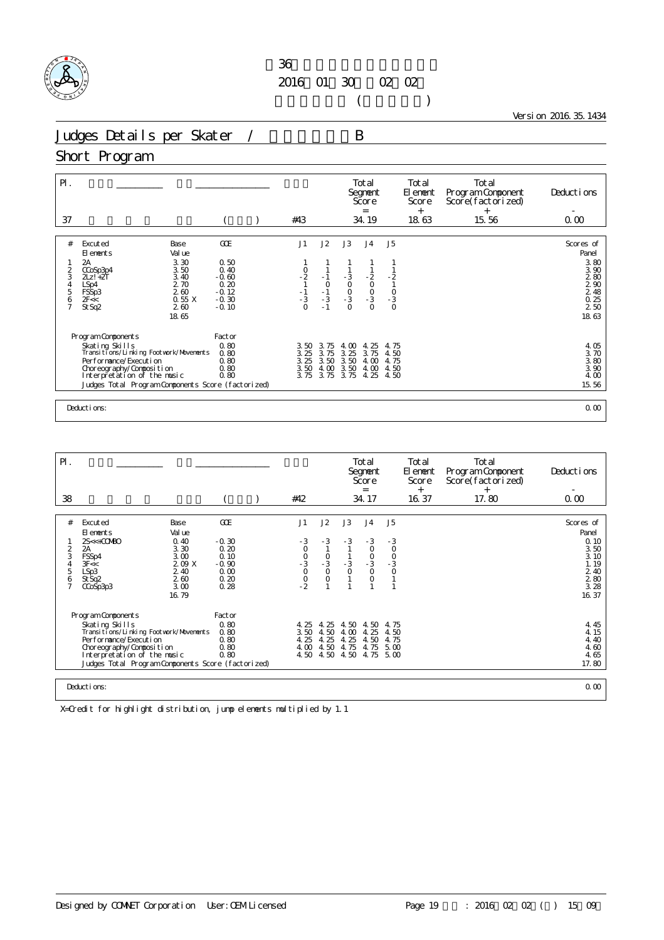

 $($ 

Version 2016.35.1434

Judges Details per Skater / B

#### Short Program

| $P$ .<br>37                     |                                                                                                                                                                                                                          |                                                                         | #43                                  |                                      |                                                | Total<br>Segnent<br>Score<br>$=$<br>34.19              |                                             | Total<br>El ement<br>Score<br>$^{+}$<br>18.63 | Total<br>Program Component<br>Score(factorized)<br>$^{+}$<br>15.56 | Deductions<br>0.00                                                                                  |
|---------------------------------|--------------------------------------------------------------------------------------------------------------------------------------------------------------------------------------------------------------------------|-------------------------------------------------------------------------|--------------------------------------|--------------------------------------|------------------------------------------------|--------------------------------------------------------|---------------------------------------------|-----------------------------------------------|--------------------------------------------------------------------|-----------------------------------------------------------------------------------------------------|
| #<br>2<br>3<br>4<br>5<br>6<br>7 | Excuted<br>Base<br>Val ue<br>El ements<br>3.30<br>2A<br>3.50<br>CCoSp3p4<br>3.40<br>$2\mathsf{L}z$ ! + $2\mathsf{T}$<br>2.70<br>LSp4<br>FSSp3<br>260<br>0.55 X<br>2F<<<br>260<br>St Sq2<br>18.65                         | GOE<br>0.50<br>0.40<br>$-0.60$<br>0.20<br>$-0.12$<br>$-0.30$<br>$-0.10$ | J1<br>$-2$<br>$-1$<br>$-3$<br>$-3$   | J2<br>$-1$<br>$\frac{0}{-3}$<br>$-1$ | J3<br>$-3$<br>0<br>0<br>0<br>0<br>0            | J <sub>4</sub><br>$-2$<br>0<br>0<br>0<br>3<br>$\Omega$ | J <sub>5</sub><br>$-2$<br>$-1$<br>$-3$<br>0 |                                               |                                                                    | Scores of<br>Panel<br>3.80<br>3.90<br>280<br>$\frac{2}{2}$ $\frac{90}{48}$<br>0.25<br>2 50<br>18.63 |
|                                 | Program Components<br>Skating Skills<br>Transitions/Linking Footwork/Movements<br>Performance/Execution<br>Choreography/Composition<br>Interpretation of the music<br>Judges Total Program Components Score (factorized) | Factor<br>0.80<br>0.80<br>0.80<br>0.80<br>0.80                          | 3.50<br>3.25<br>3.25<br>3.50<br>3.75 | 3.75<br>3.75<br>3.50<br>4.00<br>3.75 | $\infty$<br>4.<br>3.25<br>3.50<br>3.50<br>3.75 | -25<br>4.<br>3.75<br>4.00<br>4.00<br>4.25              | 4.75<br>4.50<br>4.75<br>4.50<br>4.50        |                                               |                                                                    | $\frac{4}{3}$ $\frac{05}{70}$<br>3.80<br>3.90<br>4.00<br>15.56                                      |
|                                 | Deductions:                                                                                                                                                                                                              |                                                                         |                                      |                                      |                                                |                                                        |                                             |                                               |                                                                    | 0.00                                                                                                |

| $\mathsf{P}$ .                                 |                                                                                                                                                                                                                                |                                                                                |                                                                   |                                      |                                                           |                                      | Total<br>Segnent<br>Score<br>$=$                                                                       |                                  | Total<br>El ement<br>Score<br>$^{+}$ | Total<br>Program Component<br>Score(factorized)<br>$^+$ | Deductions                                                                                                           |
|------------------------------------------------|--------------------------------------------------------------------------------------------------------------------------------------------------------------------------------------------------------------------------------|--------------------------------------------------------------------------------|-------------------------------------------------------------------|--------------------------------------|-----------------------------------------------------------|--------------------------------------|--------------------------------------------------------------------------------------------------------|----------------------------------|--------------------------------------|---------------------------------------------------------|----------------------------------------------------------------------------------------------------------------------|
| 38                                             |                                                                                                                                                                                                                                |                                                                                |                                                                   | #42                                  |                                                           |                                      | 34.17                                                                                                  |                                  | 16.37                                | 17.80                                                   | 0.00                                                                                                                 |
| #<br>$\frac{2}{3}$<br>5<br>6<br>$\overline{7}$ | Excuted<br>El ements<br>$2S<+CO$ MBO<br>2A<br>FSSp4<br>3F <<br>LSp3<br>St Sq2<br>CCoSp3p3                                                                                                                                      | Base<br>Val ue<br>0.40<br>3.30<br>3.00<br>209X<br>2.40<br>260<br>3.00<br>16.79 | GOE<br>$-0.30$<br>0.20<br>0.10<br>$-0.90$<br>0.00<br>0.20<br>0.28 | J1<br>$-300$<br>$-300$<br>$-2$       | J2<br>$-3$<br>$\frac{0}{-3}$<br>$\overline{O}$<br>$\circ$ | J3<br>$-3$<br>$\frac{3}{0}$          | J <sub>4</sub><br>$-3$<br>$\circ$<br>$\begin{smallmatrix}0\\-3\end{smallmatrix}$<br>$\circ$<br>$\circ$ | J5<br>$\frac{3}{0}$<br>$-3$<br>0 |                                      |                                                         | Scores of<br>Panel<br>0.10<br>3.50<br>3.10<br>1.19<br>2.40<br>$\begin{array}{c} 2\,80 \\ 3\,28 \end{array}$<br>16.37 |
|                                                | Program Components<br>Skating Skills<br>Transi ti ons/Li nki ng Footvork/Movements<br>Per for mance/Execution<br>Choreography/Composition<br>Interpretation of the music<br>Judges Total Program Components Score (factorized) |                                                                                | Factor<br>0.80<br>0.80<br>0.80<br>0.80<br>0.80                    | 4.25<br>3.50<br>4.25<br>4.00<br>4.50 | 4.25<br>4.50<br>4.25<br>4.50<br>4.50                      | 4.50<br>4.00<br>4.25<br>4.75<br>4.50 | 4.50<br>4.25<br>4.50<br>4.75<br>4.75 5.00                                                              | 4.75<br>4.50<br>4.75<br>5.00     |                                      |                                                         | 4.45<br>4.15<br>4.40<br>4.60<br>4.65<br>17.80                                                                        |
|                                                | Deductions:                                                                                                                                                                                                                    |                                                                                |                                                                   |                                      |                                                           |                                      |                                                                                                        |                                  |                                      |                                                         | 0.00                                                                                                                 |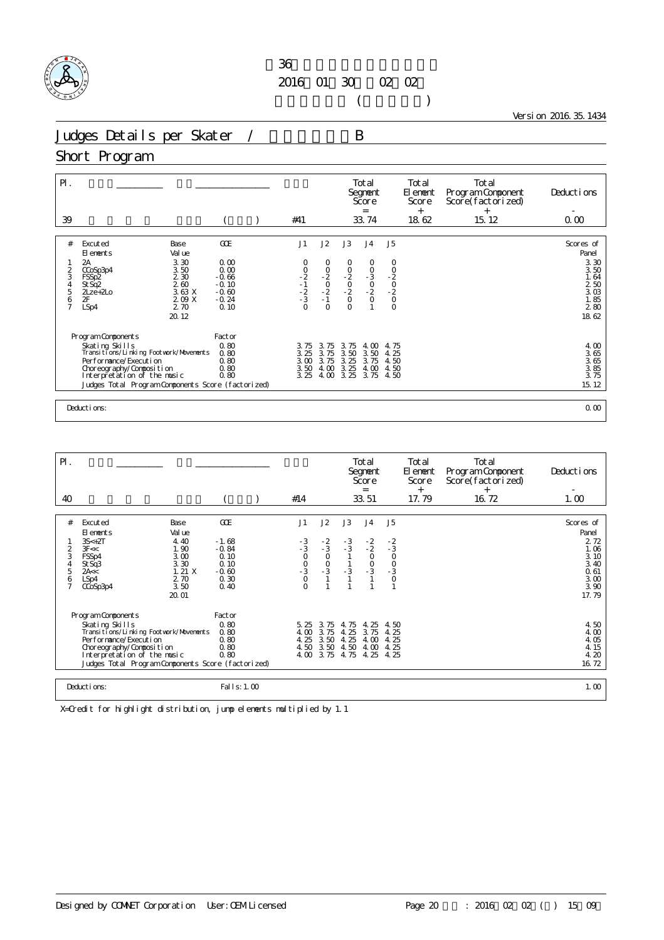

 $($ 

Version 2016.35.1434

Judges Details per Skater / B

#### Short Program

| $\mathsf{P}$ .<br>39 |                                                          |                         | #41                             |                              |                           | Total<br>Segnent<br>Score<br>$=$<br>33.74 |                           | Total<br>El ement<br>Score<br>$+$<br>18.62 | Total<br>Program Component<br>Score(factorized)<br>$^{+}$<br>15.12 | Deductions<br>0.00            |
|----------------------|----------------------------------------------------------|-------------------------|---------------------------------|------------------------------|---------------------------|-------------------------------------------|---------------------------|--------------------------------------------|--------------------------------------------------------------------|-------------------------------|
|                      |                                                          |                         |                                 |                              |                           |                                           |                           |                                            |                                                                    |                               |
| #                    | Excuted<br>Base<br>Val ue<br>El ements                   | <b>GOE</b>              | J1                              | J2                           | J3                        | J <sub>4</sub>                            | J5                        |                                            |                                                                    | Scores of<br>Panel            |
| 3                    | 3.30<br>2A<br>3.50<br>CCoSp3p4<br>2 3 0                  | 0.00<br>0.00<br>$-0.66$ | 0                               | 0                            | 0                         | 0                                         | 0                         |                                            |                                                                    | 3.30<br>3.50<br>1.64          |
| 4<br>5               | FSSp2<br>2.60<br>StSq2<br>3.63X<br>$2$ Lze+ $2$ Lo       | $-0.10$<br>$-0.60$      | $0 - 2$<br>$-1 - 2$<br>$-3 - 3$ | $-2$<br>$-2$<br>$-2$<br>$-1$ | $-2$<br>$-2$<br>$-2$<br>O | $-3$<br>$-2$<br>$-2$<br>0                 | $-2$<br>$-2$<br>$-2$<br>O |                                            |                                                                    | 250<br>3.03                   |
| $\frac{6}{7}$        | 2F<br>2.09 X<br>2.70<br>LSp4<br>20.12                    | $-0.24$<br>0.10         |                                 | $\Omega$                     | $\Omega$                  |                                           | $\circ$                   |                                            |                                                                    | 1.85<br>280<br>18.62          |
|                      |                                                          |                         |                                 |                              |                           |                                           |                           |                                            |                                                                    |                               |
|                      | Program Components                                       | Factor                  |                                 |                              |                           |                                           |                           |                                            |                                                                    |                               |
|                      |                                                          | 0.80                    | 3.75                            | 3.75                         | 3.75                      | 4.00                                      | 4.75                      |                                            |                                                                    |                               |
|                      | Skating Skills<br>Transitions/Linking Footvork/Movements | 0.80                    | 3.25                            | 3.75                         | 3.50                      | 3.50                                      | 4.25                      |                                            |                                                                    | $\frac{4}{3}$ $\frac{00}{65}$ |
|                      | Per for mance/Execution<br>Choreography/Composition      | 0.80<br>0.80            | 3.00<br>3.50                    | 3.75<br>4.00                 | 3.25<br>3.25              | 3.75<br>4.00                              | 4.50<br>4.50              |                                            |                                                                    | 3.65<br>3.85                  |
|                      | Interpretation of the music                              | 0.80                    | 3.25                            | 4.00                         | 3.25                      | 3.75                                      | 4.50                      |                                            |                                                                    | 3.75                          |
|                      | Judges Total Program Components Score (factorized)       |                         |                                 |                              |                           |                                           |                           |                                            |                                                                    | 15.12                         |
|                      |                                                          |                         |                                 |                              |                           |                                           |                           |                                            |                                                                    |                               |
|                      | Deductions:                                              |                         |                                 |                              |                           |                                           |                           |                                            |                                                                    | 0.00                          |

| $\mathsf{P}$ .<br>40                         |                                                                                                                                                                                                                                  |                                                       |                                                                      | #14                                  |                                                         |                                      | Total<br>Segnent<br>Score<br>$=$<br>33.51            |                                              | Total<br>El ement<br>Score<br>$^{+}$<br>17.79 | Total<br>Program Component<br>Score(factorized)<br>$^{+}$<br>16.72 | Deductions<br>1.00                                                                                                  |
|----------------------------------------------|----------------------------------------------------------------------------------------------------------------------------------------------------------------------------------------------------------------------------------|-------------------------------------------------------|----------------------------------------------------------------------|--------------------------------------|---------------------------------------------------------|--------------------------------------|------------------------------------------------------|----------------------------------------------|-----------------------------------------------|--------------------------------------------------------------------|---------------------------------------------------------------------------------------------------------------------|
|                                              |                                                                                                                                                                                                                                  |                                                       |                                                                      |                                      |                                                         |                                      |                                                      |                                              |                                               |                                                                    |                                                                                                                     |
| #<br>2<br>3<br>4<br>5<br>6<br>$\overline{7}$ | Excuted<br>Base<br>Val ue<br>El ements<br>$3S<+2T$<br>3F<<<br>FSSp4<br>St Sq3<br>2A <<br>LSp4<br>CCoSp3p4<br>20.01                                                                                                               | 4.40<br>1.90<br>3.00<br>3.30<br>1.21X<br>2.70<br>3.50 | GOE<br>$-1.68$<br>$-0.84$<br>0.10<br>0.10<br>$-0.60$<br>0.30<br>0.40 | J1<br>$-3 - 3 - 3 - 0 - 0 - 0 - 0$   | J2<br>$\frac{-2}{3}$<br>$\overline{O}$<br>$\frac{0}{3}$ | J3<br>$-3 - 3$<br>$\frac{1}{3}$      | J <sub>4</sub><br>$-2$<br>$-2$<br>O<br>$\frac{0}{3}$ | J5<br>$-2$<br>$-3$<br>O<br>$-3$<br>$-3$<br>0 |                                               |                                                                    | Scores of<br>Panel<br>2 7 2<br>1.06<br>3.10<br>3.40<br>0.61<br>$\begin{array}{c} 3.00 \\ 3.90 \end{array}$<br>17.79 |
|                                              | Program Components<br>Skating Skills<br>Transi ti ons/Li nki ng Footvork/Movements<br>Per f or mance/Executi on<br>Choreography/Composition<br>Interpretation of the music<br>Judges Total Program Components Score (factorized) |                                                       | Factor<br>0.80<br>0.80<br>0.80<br>0.80<br>0.80                       | 5.25<br>4.00<br>4.25<br>4.50<br>4.00 | 3.75<br>3.75<br>3.50<br>3.50<br>3.75                    | 4.75<br>4.25<br>4.25<br>4.50<br>4.75 | 4.25<br>3.75<br>4.00<br>4.00<br>4.25                 | 4.50<br>4.25<br>4.25<br>4.25<br>4.25         |                                               |                                                                    | 4.50<br>4.00<br>4.05<br>4.15<br>4.20<br>16.72                                                                       |
|                                              | Deductions:                                                                                                                                                                                                                      |                                                       | Fal I s: 1.00                                                        |                                      |                                                         |                                      |                                                      |                                              |                                               |                                                                    | 1.00                                                                                                                |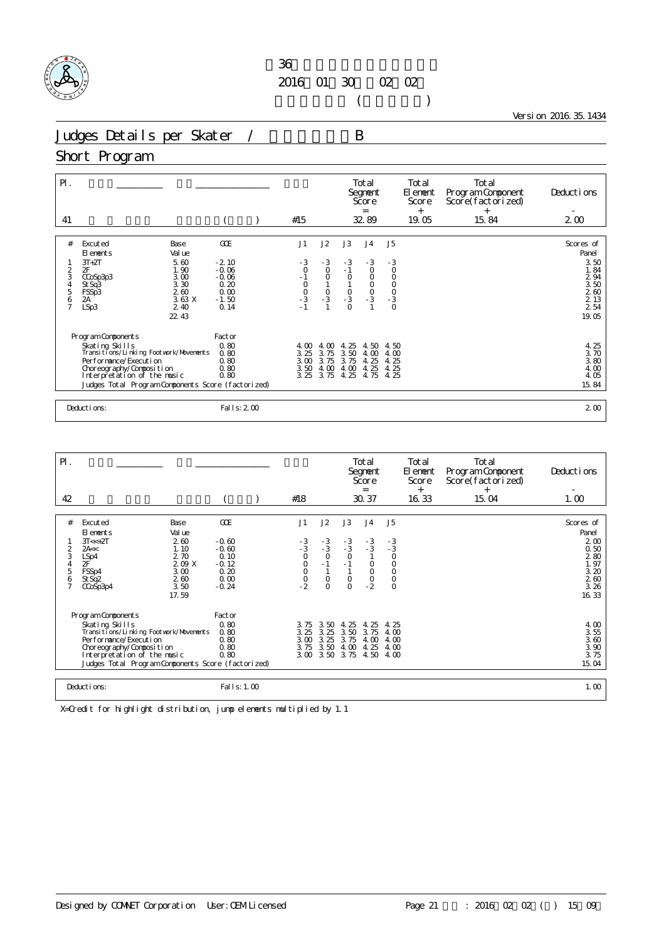

 $($ 

Version 2016.35.1434

Judges Details per Skater / B

#### Short Program

| $\mathsf{P}$ .<br>41                                           |                                                                                                                                                                                                                            |                                                                  | #15                                           |                                                      |                                           | Total<br>Segnent<br>Score<br>$=$<br>32.89                               |                                                                  | Total<br>El ement<br>Score<br>$^{+}$<br>19.05 | Total<br>Program Component<br>Score(factorized)<br>$+$<br>15.84 | Deductions<br>$2\omega$                                                    |
|----------------------------------------------------------------|----------------------------------------------------------------------------------------------------------------------------------------------------------------------------------------------------------------------------|------------------------------------------------------------------|-----------------------------------------------|------------------------------------------------------|-------------------------------------------|-------------------------------------------------------------------------|------------------------------------------------------------------|-----------------------------------------------|-----------------------------------------------------------------|----------------------------------------------------------------------------|
| #                                                              | Excuted<br>Base<br>Val ue<br>El ements                                                                                                                                                                                     | GOE                                                              | J1                                            | J2                                                   | J3                                        | J <sub>4</sub>                                                          | J <sub>5</sub>                                                   |                                               |                                                                 | Scores of<br>Panel                                                         |
| $\overline{\mathbf{c}}$<br>3<br>$\frac{4}{5}$<br>$\frac{6}{7}$ | $3T+2T$<br>5.60<br>2F<br>1.90<br>3.00<br>CCoSp3p3<br>3.30<br>St Sq3<br>260<br>FSSp3<br>3.63X<br>2A<br>LSp3<br>2.40<br>22.43                                                                                                | $-2.10$<br>$-0.06$<br>$-0.06$<br>0.20<br>0.00<br>$-1.50$<br>0.14 | $-3$<br>$\circ$<br>$-1$<br>0<br>0<br>-3<br>-1 | $-3$<br>$_{\rm O}^{\rm O}$<br>$\frac{0}{3}$          | $-3$<br>$-1$<br>$\circ$<br>$\frac{0}{3}$  | $-3$<br>$\circ$<br>$\circ$<br>$\begin{matrix} 0 \\ 0 \\ 3 \end{matrix}$ | $-3$<br>$\circ$<br>$\mathsf O$<br>$\frac{0}{0}$<br>$\frac{0}{3}$ |                                               |                                                                 | 3.50<br>1.84<br>2 9 4<br>$\frac{3}{2}$ 50<br>2 60<br>2 13<br>2 54<br>19.05 |
|                                                                | Program Components<br>Skating Skills<br>Transitions/Linking Footvork/Movements<br>Per for mance/Execution<br>Choreography/Composition<br>Interpretation of the music<br>Judges Total Program Components Score (factorized) | Factor<br>0.80<br>0.80<br>0.80<br>0.80<br>0.80                   | 4.00<br>3.25<br>3.00                          | 4.00<br>3.75<br>3.75<br>3.50<br>4.00<br>3.25<br>3.75 | -25<br>4.<br>3.50<br>3.75<br>4.00<br>4.25 | 4.50<br>4.00<br>4.25<br>4.25<br>4.75                                    | 4.50<br>4.00<br>4.25<br>4.25<br>4.25                             |                                               |                                                                 | $\frac{4}{3}$ $\frac{25}{70}$<br>3.80<br>4.00<br>4.05<br>15.84             |
|                                                                | Deductions:                                                                                                                                                                                                                | Fal I s: 2 00                                                    |                                               |                                                      |                                           |                                                                         |                                                                  |                                               |                                                                 | 2 <sub>0</sub>                                                             |

| $\mathsf{P}$ .                                        |                                                                                                                                                                                                                                |                                                                         |                                      |                                                        |                                                        | Total<br>Segnent<br>Score                                                      |                                                                                                            | Total<br>El enent<br>Score | Total<br>Program Component<br>Score(factorized) | Deductions                                                                                                    |
|-------------------------------------------------------|--------------------------------------------------------------------------------------------------------------------------------------------------------------------------------------------------------------------------------|-------------------------------------------------------------------------|--------------------------------------|--------------------------------------------------------|--------------------------------------------------------|--------------------------------------------------------------------------------|------------------------------------------------------------------------------------------------------------|----------------------------|-------------------------------------------------|---------------------------------------------------------------------------------------------------------------|
| 42                                                    |                                                                                                                                                                                                                                |                                                                         | #18                                  |                                                        |                                                        | $=$<br>30.37                                                                   |                                                                                                            | $^{+}$<br>16.33            | $^{+}$<br>15.04                                 | 1.00                                                                                                          |
| #<br>2<br>3<br>$\sqrt{4}$<br>5<br>6<br>$\overline{7}$ | Excuted<br>Base<br>Val ue<br>El ements<br>260<br>$3T < +2T$<br>1.10<br>2A <<<br>2.70<br>LSp4<br>2F<br>209X<br>FSSp4<br>3.00<br>2.60<br>St Sq <sub>2</sub><br>3.50<br>CCoSp3p4<br>17.59                                         | GOE<br>$-0.60$<br>$-0.60$<br>0.10<br>$-0.12$<br>0.20<br>0.00<br>$-0.24$ | J1<br>$-3$<br>$-3$<br>0              | J2<br>$-3$<br>$-3$<br>O<br>$-1$<br>$\circ$<br>$\Omega$ | J3<br>$-3$<br>$-3$<br>O<br>$-1$<br>$\circ$<br>$\Omega$ | J <sub>4</sub><br>$-3$<br>$-3$<br>1<br>$\circ$<br>$\mathsf O$<br>$\frac{0}{2}$ | J <sub>5</sub><br>$\begin{array}{c} -3 \\ -3 \\ 0 \end{array}$<br>$_{\rm O}^{\rm O}$<br>$\circ$<br>$\circ$ |                            |                                                 | Scores of<br>Panel<br>2 <sub>0</sub><br>0.50<br>280<br>1.97<br>3.20<br>$\frac{2}{3}$ $\frac{60}{26}$<br>16.33 |
|                                                       | Program Components<br>Skating Skills<br>Transi ti ons/Li nki ng Footvork/Movements<br>Per for mance/Execution<br>Choreography/Composition<br>Interpretation of the music<br>Judges Total Program Components Score (factorized) | Factor<br>0.80<br>0.80<br>0.80<br>0.80<br>0.80                          | 3.75<br>3.25<br>3.00<br>3.75<br>3.00 | 3.50<br>3.25<br>3.25<br>3.50<br>3.50                   | 25<br>4.<br>3.50<br>3.75<br>4.00<br>3.75               | 25<br>4.<br>3.75<br>4.00<br>4.25<br>4.50                                       | 4.25<br>4.00<br>4.00<br>4.00<br>4.00                                                                       |                            |                                                 | 4.00<br>$3\frac{5}{3}$<br>$3\frac{60}{3}$<br>$3\frac{75}{3}$<br>15.04                                         |
|                                                       | Deductions:                                                                                                                                                                                                                    | Fal I s: 1.00                                                           |                                      |                                                        |                                                        |                                                                                |                                                                                                            |                            |                                                 | 1.00                                                                                                          |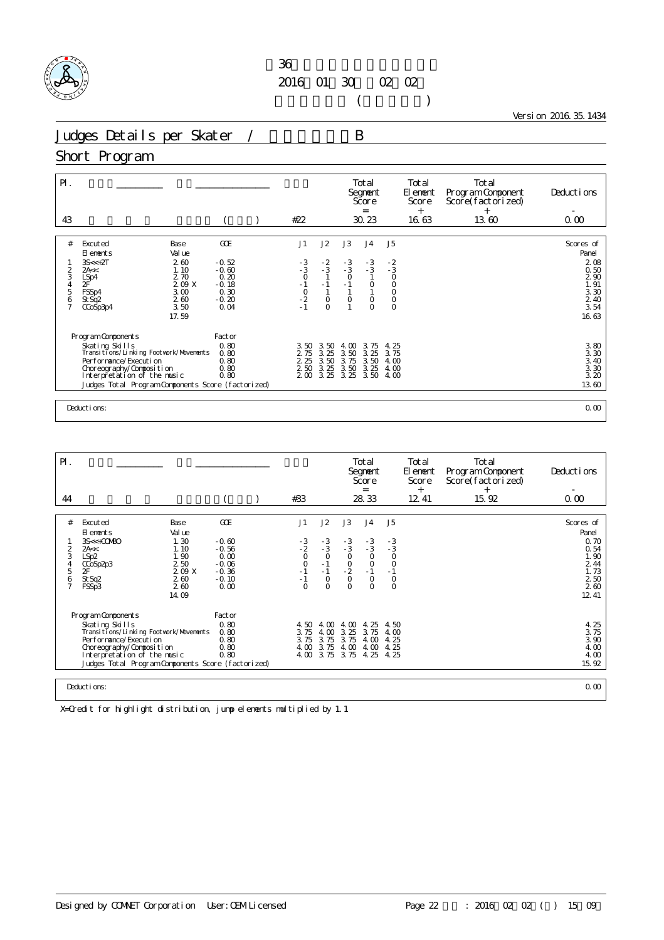

 $($ 

Version 2016.35.1434

Judges Details per Skater / B

#### Short Program

| GOE<br>J1<br>J2<br>J3<br>J <sub>4</sub><br>J5<br>#<br>Excuted<br>Base<br>Val ue<br>El ements<br>260<br>$-3$<br>$3S < +2T$<br>$-0.52$<br>$-3$<br>$-3$<br>O<br>$\frac{-2}{3}$<br>$-3$<br>$-3$<br>$-2$<br>$-3$<br>$-3$<br>$-0.60$<br>1.10<br>2<br>2A<<<br>3<br>$\circ$<br>$\circ$<br>2.70<br>0.20<br>$\mathbf{1}$<br>LSp4<br>2F<br>$-1$<br>$-2$<br>$-1$<br>$-1$<br>$\overline{0}$<br>209X<br>$\frac{4}{5}$<br>$-1$<br>$-0.18$<br>$\begin{smallmatrix}0\\1\end{smallmatrix}$<br>0.30<br>$\mathbf{1}$<br>FSSp4<br>3.00<br>6<br>$\circ$<br>260<br>$-0.20$<br>$\circ$<br>$\circ$<br>$\circ$<br>St Sq <sub>2</sub><br>$\circ$<br>3.50<br>$\overline{7}$<br>0.04<br>$\overline{O}$<br>$\overline{O}$<br>CCoSp3p4<br>17.59<br>Program Components<br>Factor<br>0.80<br>Skating Skills<br>3.75<br>3.50<br>3.50<br>$\infty$<br>4.25<br>4.<br>Transitions/Linking Footwork/Movements<br>3.25<br>0.80<br>3.50<br>3.25<br>2 75<br>3.75<br>2 2 5<br>3.50<br>Performance/Execution<br>0.80<br>3.75<br>3.50<br>4.00<br>0.80<br>2 50<br>3.25<br>3.50<br>3.25<br>Choreography/Composition<br>4.00<br>Interpretation of the music<br>0.80<br>3.25<br>3.25<br>3.50<br>200<br>4.00<br>Judges Total Program Components Score (factorized) | $P$ .<br>43 |  | #22 |  | Total<br>Segnent<br>Score<br>$\equiv$<br>30.23 | Total<br>El ement<br>Score<br>$^{+}$<br>16.63 | Total<br>Program Component<br>Score(factorized)<br>$^{+}$<br>13.60 | Deductions<br>0.00                                                                                               |
|------------------------------------------------------------------------------------------------------------------------------------------------------------------------------------------------------------------------------------------------------------------------------------------------------------------------------------------------------------------------------------------------------------------------------------------------------------------------------------------------------------------------------------------------------------------------------------------------------------------------------------------------------------------------------------------------------------------------------------------------------------------------------------------------------------------------------------------------------------------------------------------------------------------------------------------------------------------------------------------------------------------------------------------------------------------------------------------------------------------------------------------------------------------------------------------------------------------|-------------|--|-----|--|------------------------------------------------|-----------------------------------------------|--------------------------------------------------------------------|------------------------------------------------------------------------------------------------------------------|
|                                                                                                                                                                                                                                                                                                                                                                                                                                                                                                                                                                                                                                                                                                                                                                                                                                                                                                                                                                                                                                                                                                                                                                                                                  |             |  |     |  |                                                |                                               |                                                                    | Scores of<br>Panel<br>208<br>0.50<br>2 90<br>1.91<br>$\frac{3}{2}$<br>$\frac{30}{40}$<br>$\frac{3}{54}$<br>16.63 |
| Deductions:                                                                                                                                                                                                                                                                                                                                                                                                                                                                                                                                                                                                                                                                                                                                                                                                                                                                                                                                                                                                                                                                                                                                                                                                      |             |  |     |  |                                                |                                               |                                                                    | 3.80<br>3.30<br>3.40<br>3.30<br>3.20<br>13.60<br>0.00                                                            |

| $\mathsf{P}$ .                          |                                                                                                                                                                                                                              |                                                              |                                                                     |                                                          |                                                          |                                                                  | Total<br>Segnent<br>Score<br>$=$                            |                                                                  | <b>Total</b><br>El ement<br>Score<br>$^{+}$ | Total<br>Program Component<br>Score(factorized)<br>$^{+}$ | Deductions                                                   |
|-----------------------------------------|------------------------------------------------------------------------------------------------------------------------------------------------------------------------------------------------------------------------------|--------------------------------------------------------------|---------------------------------------------------------------------|----------------------------------------------------------|----------------------------------------------------------|------------------------------------------------------------------|-------------------------------------------------------------|------------------------------------------------------------------|---------------------------------------------|-----------------------------------------------------------|--------------------------------------------------------------|
| 44                                      |                                                                                                                                                                                                                              |                                                              |                                                                     | #33                                                      |                                                          |                                                                  | 28.33                                                       |                                                                  | 12 41                                       | 15.92                                                     | 0.00                                                         |
|                                         |                                                                                                                                                                                                                              |                                                              |                                                                     |                                                          |                                                          |                                                                  |                                                             |                                                                  |                                             |                                                           |                                                              |
| #                                       | Excuted<br>El ements                                                                                                                                                                                                         | Base<br>Val ue                                               | GOE                                                                 | J1                                                       | J2                                                       | J3                                                               | J <sub>4</sub>                                              | J5                                                               |                                             |                                                           | Scores of<br>Panel                                           |
| 2<br>3<br>4<br>5<br>6<br>$\overline{7}$ | $3S<+COMBO$<br>2A <<<br>LSp <sub>2</sub><br>CCoSp <sub>2p3</sub><br>2F<br>St Sq2<br>FSSp3                                                                                                                                    | 1.30<br>1.10<br>1.90<br>2 50<br>209 X<br>260<br>260<br>14.09 | $-0.60$<br>$-0.56$<br>0.00<br>$-0.06$<br>$-0.36$<br>$-0.10$<br>0.00 | $\frac{-3}{2}$<br>$_{0}^{0}$<br>$-1$<br>$-1$<br>$\Omega$ | $-3/3$<br>$\circ$<br>$-1$<br>$-1$<br>$\circ$<br>$\Omega$ | $-3$<br>$-3$<br>$\frac{0}{2}$<br>$\mathsf{O}\xspace$<br>$\Omega$ | $-3/3$<br>$_{\rm O}^{\rm O}$<br>$-1$<br>$\circ$<br>$\Omega$ | $-3$<br>$-3$<br>$\circ$<br>$\circ$<br>$-1$<br>$\circ$<br>$\circ$ |                                             |                                                           | 0.70<br>0.54<br>1.90<br>2 4 4<br>1.73<br>250<br>260<br>12 41 |
|                                         | Program Components<br>Skating Skills<br>Transi ti ons/Li nki ng Footvork/Movements<br>Performance/Execution<br>Choreography/Composition<br>Interpretation of the music<br>Judges Total Program Components Score (factorized) |                                                              | Factor<br>0.80<br>0.80<br>0.80<br>0.80<br>0.80                      | 4.50<br>3.75<br>3.75<br>4.00<br>4.00                     | 4. CO<br>4.00<br>3.75<br>3.75<br>3.75                    | 4 <sub>o</sub><br>3.25<br>3.75<br>4.00<br>3.75                   | 4.25<br>3.75<br>4.00<br>4.00<br>4.25                        | 4.50<br>4.00<br>4.25<br>4.25<br>4.25                             |                                             |                                                           | 4.25<br>3.75<br>3.90<br>4.00<br>4.00<br>15.92                |
|                                         | Deductions:                                                                                                                                                                                                                  |                                                              |                                                                     |                                                          |                                                          |                                                                  |                                                             |                                                                  |                                             |                                                           | 0.00                                                         |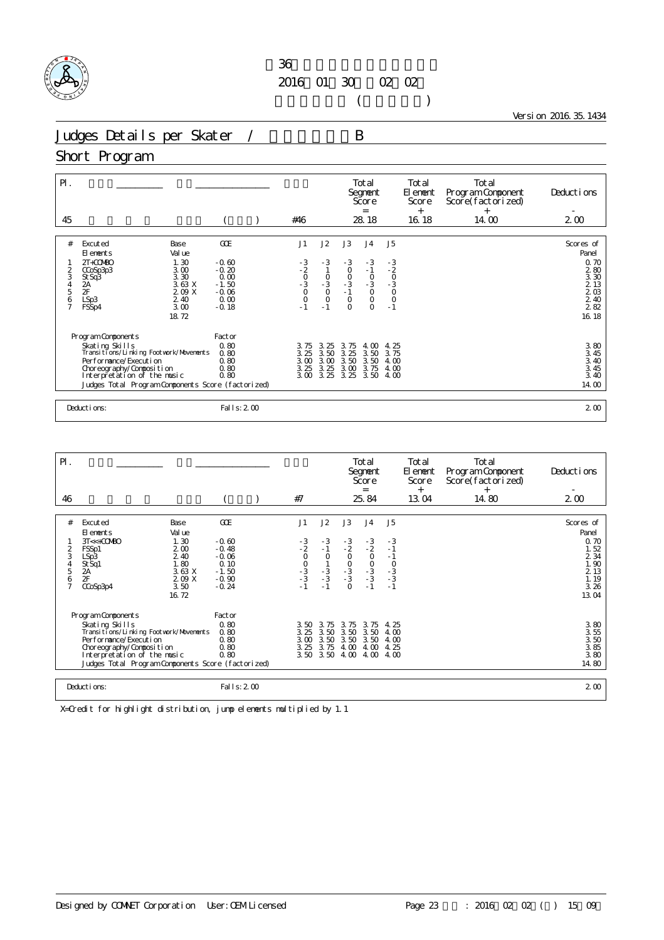

 $($ 

Version 2016.35.1434

Judges Details per Skater / B

#### Short Program

| $\mathsf{P}$ .<br>45 |                                                              |                |                 | #46                                         |              |                                          | Total<br>Segnent<br>Score<br>$=$<br>28.18 |                              | Total<br>El ement<br>Score<br>$^{+}$<br>16.18 | Total<br>Program Component<br>Score(factorized)<br>$^{+}$<br>14.00 | Deductions<br>$2\omega$                     |
|----------------------|--------------------------------------------------------------|----------------|-----------------|---------------------------------------------|--------------|------------------------------------------|-------------------------------------------|------------------------------|-----------------------------------------------|--------------------------------------------------------------------|---------------------------------------------|
|                      |                                                              |                |                 |                                             |              |                                          |                                           |                              |                                               |                                                                    |                                             |
| #                    | Excuted<br>El ements                                         | Base<br>Val ue | GOE             | J1                                          | J2           | J3                                       | J <sub>4</sub>                            | J <sub>5</sub>               |                                               |                                                                    | Scores of<br>Panel                          |
|                      | $2T + COV(BO)$                                               | 1.30           | $-0.60$         |                                             | $-3$         | $-3$                                     | $-3$                                      |                              |                                               |                                                                    | 0.70                                        |
|                      | CCoSp3p3                                                     | 3.00<br>3.30   | $-0.20$<br>0.00 |                                             |              |                                          | $-1$                                      |                              |                                               |                                                                    | 280<br>3.30                                 |
| 2<br>3<br>4<br>5     | St Sq3<br>2A                                                 | 3.63 X         | $-1.50$         |                                             | $-3$<br>0    | $\begin{matrix}0\\0\\-3\\-1\end{matrix}$ | $-3$<br>0                                 | $-3$<br>$-2$<br>$-3$<br>$-3$ |                                               |                                                                    |                                             |
|                      | $\overline{2}$ F<br>LSp3                                     | 2.09 X<br>2.40 | $-0.06$<br>0.00 | $-3$<br>$-2$<br>$-3$<br>$-3$<br>0<br>0      | $\circ$      | $\circ$                                  | $\circ$                                   |                              |                                               |                                                                    | 2 13<br>2 03<br>2 40                        |
| $\frac{6}{7}$        | FSSp4                                                        | 3.00           | $-0.18$         | $-1$                                        | $-1$         | $\Omega$                                 | $\Omega$                                  | $\overline{0}$<br>- 1        |                                               |                                                                    | 282                                         |
|                      |                                                              | 18.72          |                 |                                             |              |                                          |                                           |                              |                                               |                                                                    | 16.18                                       |
|                      |                                                              |                |                 |                                             |              |                                          |                                           |                              |                                               |                                                                    |                                             |
|                      | Program Components                                           |                | Factor          |                                             |              |                                          |                                           |                              |                                               |                                                                    |                                             |
|                      | Skating Skills<br>Transi ti ons/Li nki ng Footvork/Movements |                | 0.80<br>0.80    | $\begin{array}{c} 3.75 \\ 3.25 \end{array}$ | 3.25<br>3.50 | 3.75<br>3.25                             | 4.00<br>3.50                              | 4.25<br>3.75                 |                                               |                                                                    | $\begin{array}{c} 3.80 \\ 3.45 \end{array}$ |
|                      | Per for mance/Execution                                      |                | 0.80            | 3.00                                        | 3.00         | 3.50                                     | 3.50                                      | 4.00                         |                                               |                                                                    |                                             |
|                      | Choreography/Composition                                     |                | 0.80            | 3.25                                        | 3.25         | 3.00                                     | 3.75                                      | 4.00                         |                                               |                                                                    | $3,40$<br>$3,45$<br>$3,40$                  |
|                      | Interpretation of the music                                  |                | 0.80            | 3.00                                        | 3.25         | 3.25                                     | 3.50                                      | 4.00                         |                                               |                                                                    |                                             |
|                      | Judges Total Program Components Score (factorized)           |                |                 |                                             |              |                                          |                                           |                              |                                               |                                                                    | 14.00                                       |
|                      |                                                              |                |                 |                                             |              |                                          |                                           |                              |                                               |                                                                    |                                             |
|                      | Deductions:                                                  |                | Fal I s: 2 00   |                                             |              |                                          |                                           |                              |                                               |                                                                    | 2 <sub>0</sub>                              |

| PI.                                                        |                                                                                                                                                                                                                                |                                                                                   |                                                                               |                                                    |                                                      |                                                        | Total<br>Segnent<br>Score<br>$=$                                |                                                          | Total<br>El ement<br>Score | Total<br>Program Component<br>Score(factorized) | Deductions                                                                              |
|------------------------------------------------------------|--------------------------------------------------------------------------------------------------------------------------------------------------------------------------------------------------------------------------------|-----------------------------------------------------------------------------------|-------------------------------------------------------------------------------|----------------------------------------------------|------------------------------------------------------|--------------------------------------------------------|-----------------------------------------------------------------|----------------------------------------------------------|----------------------------|-------------------------------------------------|-----------------------------------------------------------------------------------------|
| 46                                                         |                                                                                                                                                                                                                                |                                                                                   |                                                                               | #7                                                 |                                                      |                                                        | 25.84                                                           |                                                          | $^{+}$<br>13.04            | $^{+}$<br>14.80                                 | 200                                                                                     |
| #<br>$\frac{2}{3}$<br>$\frac{4}{5}$<br>6<br>$\overline{7}$ | Excuted<br>El ements<br>$3T < +CO$ $R$<br>FSSp1<br>LSp3<br>St Sq1<br>2A<br>2F<br>CCoSp3p4                                                                                                                                      | Base<br>Val ue<br>1.30<br>200<br>2.40<br>1.80<br>3.63X<br>2.09 X<br>3.50<br>16.72 | GOE<br>$-0.60$<br>$-0.48$<br>$-0.06$<br>0.10<br>$-1.50$<br>$-0.90$<br>$-0.24$ | J1<br>$-3$<br>$-2$<br>$-0$<br>$-3$<br>$-3$<br>$-1$ | J2<br>$-3$<br>- 1<br>$\circ$<br>$\frac{1}{3}$<br>- 3 | J3<br>$-3$<br>$-2$<br>$-0$<br>$-3$<br>$-3$<br>$\Omega$ | J <sub>4</sub><br>$\frac{-3}{2}$<br>$0$<br>$-3$<br>$-3$<br>$-1$ | J <sub>5</sub><br>$\frac{-3}{1}$<br>$-1$<br>$-3 - 3 - 1$ |                            |                                                 | Scores of<br>Panel<br>0.70<br>1.52<br>$2\frac{34}{1}$<br>2 1 3<br>1.19<br>3.26<br>13.04 |
|                                                            | Program Components<br>Skating Skills<br>Transi ti ons/Li nki ng Footvork/Movements<br>Per for mance/Execution<br>Choreography/Composition<br>Interpretation of the music<br>Judges Total Program Components Score (factorized) |                                                                                   | Factor<br>0.80<br>0.80<br>0.80<br>0.80<br>0.80                                | 3.50<br>3.25<br>3.00<br>3.25<br>3.50               | 3.75<br>3.50<br>3.50<br>3.75<br>3.50                 | 3.75<br>3.50<br>3.50<br>4.00<br>4.00                   | 3.75<br>3.50<br>3.50<br>4.00<br>4.00                            | -25<br>4.<br>4.00<br>4.00<br>4.25<br>4.00                |                            |                                                 | $380$<br>$350$<br>$385$<br>$385$<br>$380$<br>14.80                                      |
|                                                            | Deductions:                                                                                                                                                                                                                    |                                                                                   | Fal I s: 2 00                                                                 |                                                    |                                                      |                                                        |                                                                 |                                                          |                            |                                                 | 2 <sub>0</sub>                                                                          |